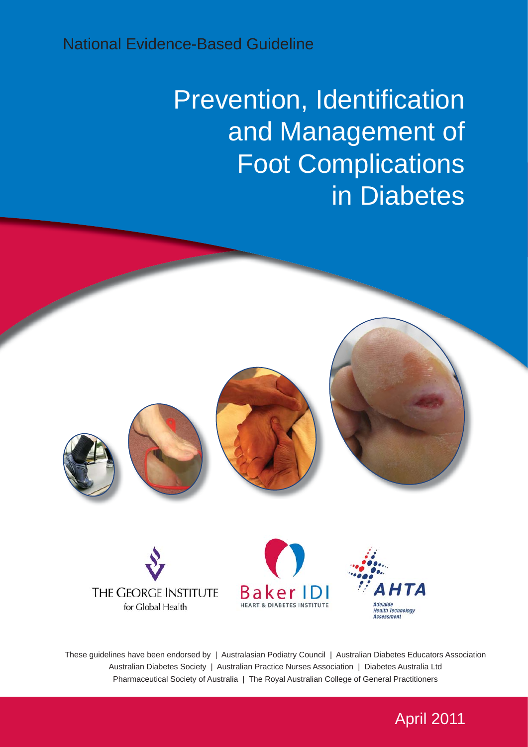# National Evidence-Based Guideline

# Prevention, Identification and Management of Foot Complications in Diabetes



These guidelines have been endorsed by | Australasian Podiatry Council | Australian Diabetes Educators Association Australian Diabetes Society | Australian Practice Nurses Association | Diabetes Australia Ltd Pharmaceutical Society of Australia | The Royal Australian College of General Practitioners

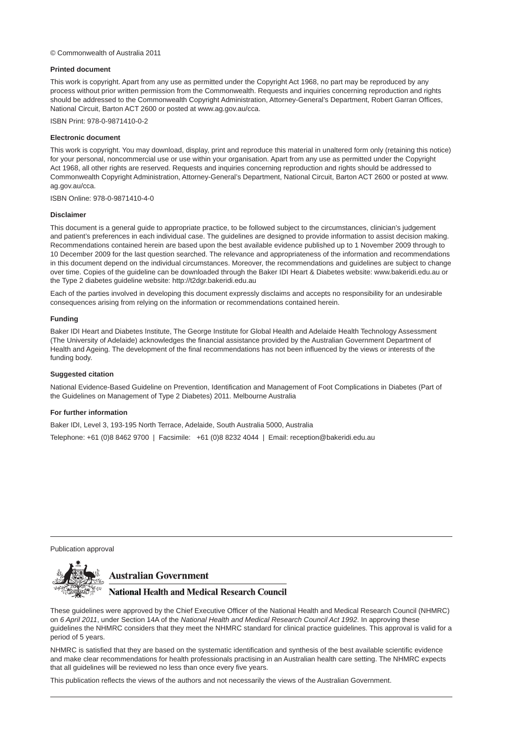#### © Commonwealth of Australia 2011

#### **Printed document**

This work is copyright. Apart from any use as permitted under the Copyright Act 1968, no part may be reproduced by any process without prior written permission from the Commonwealth. Requests and inquiries concerning reproduction and rights should be addressed to the Commonwealth Copyright Administration, Attorney-General's Department, Robert Garran Offices, National Circuit, Barton ACT 2600 or posted at www.ag.gov.au/cca.

ISBN Print: 978-0-9871410-0-2

#### **Electronic document**

This work is copyright. You may download, display, print and reproduce this material in unaltered form only (retaining this notice) for your personal, noncommercial use or use within your organisation. Apart from any use as permitted under the Copyright Act 1968, all other rights are reserved. Requests and inquiries concerning reproduction and rights should be addressed to Commonwealth Copyright Administration, Attorney-General's Department, National Circuit, Barton ACT 2600 or posted at www. ag.gov.au/cca.

ISBN Online: 978-0-9871410-4-0

#### **Disclaimer**

This document is a general guide to appropriate practice, to be followed subject to the circumstances, clinician's judgement and patient's preferences in each individual case. The guidelines are designed to provide information to assist decision making. Recommendations contained herein are based upon the best available evidence published up to 1 November 2009 through to 10 December 2009 for the last question searched. The relevance and appropriateness of the information and recommendations in this document depend on the individual circumstances. Moreover, the recommendations and guidelines are subject to change over time. Copies of the guideline can be downloaded through the Baker IDI Heart & Diabetes website: www.bakeridi.edu.au or the Type 2 diabetes guideline website: http://t2dgr.bakeridi.edu.au

Each of the parties involved in developing this document expressly disclaims and accepts no responsibility for an undesirable consequences arising from relying on the information or recommendations contained herein.

#### **Funding**

Baker IDI Heart and Diabetes Institute, The George Institute for Global Health and Adelaide Health Technology Assessment (The University of Adelaide) acknowledges the financial assistance provided by the Australian Government Department of Health and Ageing. The development of the final recommendations has not been influenced by the views or interests of the funding body.

#### **Suggested citation**

National Evidence-Based Guideline on Prevention, Identification and Management of Foot Complications in Diabetes (Part of the Guidelines on Management of Type 2 Diabetes) 2011. Melbourne Australia

#### **For further information**

Baker IDI, Level 3, 193-195 North Terrace, Adelaide, South Australia 5000, Australia

Telephone: +61 (0)8 8462 9700 | Facsimile: +61 (0)8 8232 4044 | Email: reception@bakeridi.edu.au

Publication approval



#### **Australian Government**

#### **National Health and Medical Research Council**

These guidelines were approved by the Chief Executive Officer of the National Health and Medical Research Council (NHMRC) on *6 April 2011*, under Section 14A of the *National Health and Medical Research Council Act 1992*. In approving these guidelines the NHMRC considers that they meet the NHMRC standard for clinical practice guidelines. This approval is valid for a period of 5 years.

NHMRC is satisfied that they are based on the systematic identification and synthesis of the best available scientific evidence and make clear recommendations for health professionals practising in an Australian health care setting. The NHMRC expects that all guidelines will be reviewed no less than once every five years.

This publication reflects the views of the authors and not necessarily the views of the Australian Government.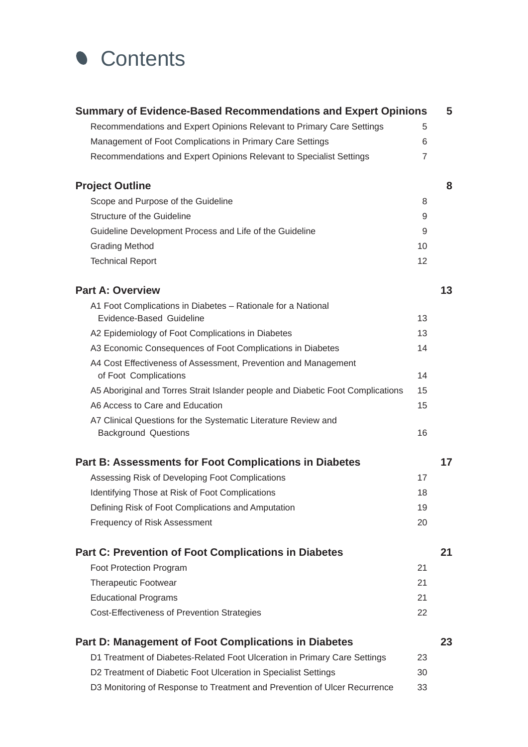

| <b>Summary of Evidence-Based Recommendations and Expert Opinions</b>                    |                | 5  |
|-----------------------------------------------------------------------------------------|----------------|----|
| Recommendations and Expert Opinions Relevant to Primary Care Settings                   | 5              |    |
| Management of Foot Complications in Primary Care Settings                               | 6              |    |
| Recommendations and Expert Opinions Relevant to Specialist Settings                     | $\overline{7}$ |    |
| <b>Project Outline</b>                                                                  |                | 8  |
| Scope and Purpose of the Guideline                                                      | 8              |    |
| Structure of the Guideline                                                              | 9              |    |
| Guideline Development Process and Life of the Guideline                                 | 9              |    |
| <b>Grading Method</b>                                                                   | 10             |    |
| <b>Technical Report</b>                                                                 | 12             |    |
| <b>Part A: Overview</b>                                                                 |                | 13 |
| A1 Foot Complications in Diabetes - Rationale for a National                            |                |    |
| Evidence-Based Guideline                                                                | 13             |    |
| A2 Epidemiology of Foot Complications in Diabetes                                       | 13             |    |
| A3 Economic Consequences of Foot Complications in Diabetes                              | 14             |    |
| A4 Cost Effectiveness of Assessment, Prevention and Management<br>of Foot Complications | 14             |    |
| A5 Aboriginal and Torres Strait Islander people and Diabetic Foot Complications         | 15             |    |
| A6 Access to Care and Education                                                         | 15             |    |
| A7 Clinical Questions for the Systematic Literature Review and                          |                |    |
| <b>Background Questions</b>                                                             | 16             |    |
| <b>Part B: Assessments for Foot Complications in Diabetes</b>                           |                | 17 |
| Assessing Risk of Developing Foot Complications                                         | 17             |    |
| Identifying Those at Risk of Foot Complications                                         | 18             |    |
| Defining Risk of Foot Complications and Amputation                                      | 19             |    |
| Frequency of Risk Assessment                                                            | 20             |    |
| <b>Part C: Prevention of Foot Complications in Diabetes</b>                             |                | 21 |
| <b>Foot Protection Program</b>                                                          | 21             |    |
| <b>Therapeutic Footwear</b>                                                             | 21             |    |
| <b>Educational Programs</b>                                                             | 21             |    |
| Cost-Effectiveness of Prevention Strategies                                             | 22             |    |
| <b>Part D: Management of Foot Complications in Diabetes</b>                             |                | 23 |
| D1 Treatment of Diabetes-Related Foot Ulceration in Primary Care Settings               | 23             |    |
| D2 Treatment of Diabetic Foot Ulceration in Specialist Settings                         | 30             |    |
| D3 Monitoring of Response to Treatment and Prevention of Ulcer Recurrence               | 33             |    |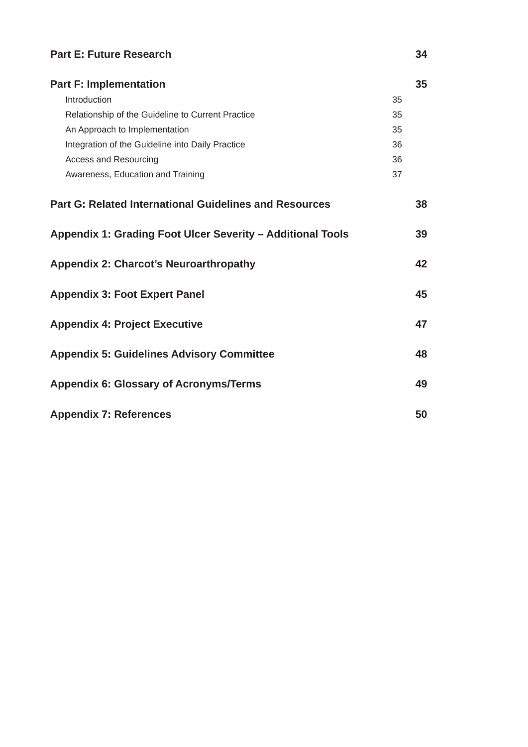| <b>Part E: Future Research</b>                                |    | 34 |
|---------------------------------------------------------------|----|----|
| <b>Part F: Implementation</b>                                 |    | 35 |
| Introduction                                                  | 35 |    |
| Relationship of the Guideline to Current Practice             | 35 |    |
| An Approach to Implementation                                 | 35 |    |
| Integration of the Guideline into Daily Practice              | 36 |    |
| <b>Access and Resourcing</b>                                  | 36 |    |
| Awareness, Education and Training                             | 37 |    |
| <b>Part G: Related International Guidelines and Resources</b> |    | 38 |
| Appendix 1: Grading Foot Ulcer Severity - Additional Tools    |    | 39 |
| <b>Appendix 2: Charcot's Neuroarthropathy</b>                 |    | 42 |
| <b>Appendix 3: Foot Expert Panel</b>                          |    | 45 |
| <b>Appendix 4: Project Executive</b>                          |    | 47 |
| <b>Appendix 5: Guidelines Advisory Committee</b>              |    | 48 |
| <b>Appendix 6: Glossary of Acronyms/Terms</b>                 |    | 49 |
| <b>Appendix 7: References</b>                                 |    | 50 |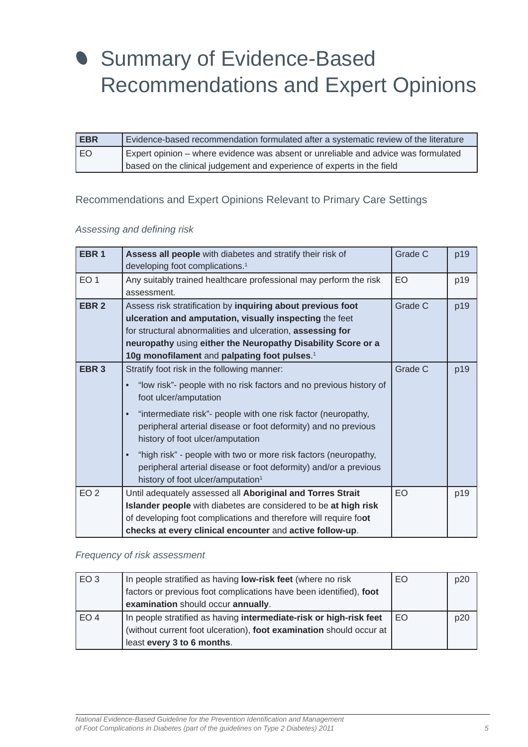# <span id="page-4-0"></span>Summary of Evidence-Based Recommendations and Expert Opinions

| <b>EBR</b> | Evidence-based recommendation formulated after a systematic review of the literature |
|------------|--------------------------------------------------------------------------------------|
| EO         | Expert opinion – where evidence was absent or unreliable and advice was formulated   |
|            | based on the clinical judgement and experience of experts in the field               |

## Recommendations and Expert Opinions Relevant to Primary Care Settings

#### *Assessing and defi ning risk*

| EBR <sub>1</sub> | Assess all people with diabetes and stratify their risk of<br>developing foot complications. <sup>1</sup>                                                                                                                                                                                                                                                                                                                                                                                                              | Grade C | p19 |
|------------------|------------------------------------------------------------------------------------------------------------------------------------------------------------------------------------------------------------------------------------------------------------------------------------------------------------------------------------------------------------------------------------------------------------------------------------------------------------------------------------------------------------------------|---------|-----|
| EO <sub>1</sub>  | Any suitably trained healthcare professional may perform the risk<br>assessment.                                                                                                                                                                                                                                                                                                                                                                                                                                       | EO      | p19 |
| EBR <sub>2</sub> | Assess risk stratification by inquiring about previous foot<br>ulceration and amputation, visually inspecting the feet<br>for structural abnormalities and ulceration, assessing for<br>neuropathy using either the Neuropathy Disability Score or a<br>10g monofilament and palpating foot pulses. <sup>1</sup>                                                                                                                                                                                                       | Grade C | p19 |
| EBR <sub>3</sub> | Stratify foot risk in the following manner:<br>"low risk"- people with no risk factors and no previous history of<br>foot ulcer/amputation<br>"intermediate risk"- people with one risk factor (neuropathy,<br>peripheral arterial disease or foot deformity) and no previous<br>history of foot ulcer/amputation<br>"high risk" - people with two or more risk factors (neuropathy,<br>$\bullet$<br>peripheral arterial disease or foot deformity) and/or a previous<br>history of foot ulcer/amputation <sup>1</sup> | Grade C | p19 |
| EO <sub>2</sub>  | Until adequately assessed all Aboriginal and Torres Strait<br>Islander people with diabetes are considered to be at high risk<br>of developing foot complications and therefore will require foot<br>checks at every clinical encounter and active follow-up.                                                                                                                                                                                                                                                          | EO      | p19 |

#### *Frequency of risk assessment*

| EO <sub>3</sub> | In people stratified as having <b>low-risk feet</b> (where no risk  | EO | p20 |
|-----------------|---------------------------------------------------------------------|----|-----|
|                 | factors or previous foot complications have been identified), foot  |    |     |
|                 | examination should occur annually.                                  |    |     |
| EO <sub>4</sub> | In people stratified as having intermediate-risk or high-risk feet  | EO | p20 |
|                 | (without current foot ulceration), foot examination should occur at |    |     |
|                 | least every 3 to 6 months.                                          |    |     |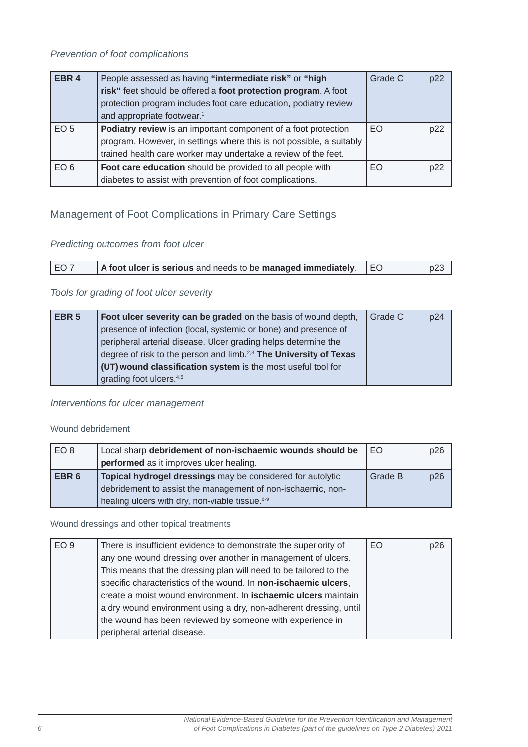<span id="page-5-0"></span>

| EBR <sub>4</sub> | People assessed as having "intermediate risk" or "high<br>risk" feet should be offered a foot protection program. A foot<br>protection program includes foot care education, podiatry review<br>and appropriate footwear. <sup>1</sup> | Grade C | p22 |
|------------------|----------------------------------------------------------------------------------------------------------------------------------------------------------------------------------------------------------------------------------------|---------|-----|
| EO <sub>5</sub>  | Podiatry review is an important component of a foot protection<br>program. However, in settings where this is not possible, a suitably<br>trained health care worker may undertake a review of the feet.                               | EO      | p22 |
| EO <sub>6</sub>  | Foot care education should be provided to all people with<br>diabetes to assist with prevention of foot complications.                                                                                                                 | EO      | p22 |

# Management of Foot Complications in Primary Care Settings

# *Predicting outcomes from foot ulcer*

| EO7 | $\vert$ A foot ulcer is serious and needs to be managed immediately. $\vert$ EO |  | p23 |
|-----|---------------------------------------------------------------------------------|--|-----|
|-----|---------------------------------------------------------------------------------|--|-----|

#### *Tools for grading of foot ulcer severity*

| EBR <sub>5</sub> | Foot ulcer severity can be graded on the basis of wound depth,                | Grade C | p24 |
|------------------|-------------------------------------------------------------------------------|---------|-----|
|                  | presence of infection (local, systemic or bone) and presence of               |         |     |
|                  | peripheral arterial disease. Ulcer grading helps determine the                |         |     |
|                  | degree of risk to the person and limb. <sup>2,3</sup> The University of Texas |         |     |
|                  | (UT) wound classification system is the most useful tool for                  |         |     |
|                  | grading foot ulcers. <sup>4,5</sup>                                           |         |     |

#### *Interventions for ulcer management*

#### Wound debridement

| EO <sub>8</sub>  | Local sharp debridement of non-ischaemic wounds should be   | l EO    | p26 |
|------------------|-------------------------------------------------------------|---------|-----|
|                  | performed as it improves ulcer healing.                     |         |     |
| EBR <sub>6</sub> | Topical hydrogel dressings may be considered for autolytic  | Grade B | p26 |
|                  | debridement to assist the management of non-ischaemic, non- |         |     |
|                  | healing ulcers with dry, non-viable tissue. <sup>6-9</sup>  |         |     |

Wound dressings and other topical treatments

| EO <sub>9</sub> | There is insufficient evidence to demonstrate the superiority of  | EO | p26 |
|-----------------|-------------------------------------------------------------------|----|-----|
|                 | any one wound dressing over another in management of ulcers.      |    |     |
|                 | This means that the dressing plan will need to be tailored to the |    |     |
|                 | specific characteristics of the wound. In non-ischaemic ulcers,   |    |     |
|                 | create a moist wound environment. In ischaemic ulcers maintain    |    |     |
|                 | a dry wound environment using a dry, non-adherent dressing, until |    |     |
|                 | the wound has been reviewed by someone with experience in         |    |     |
|                 | peripheral arterial disease.                                      |    |     |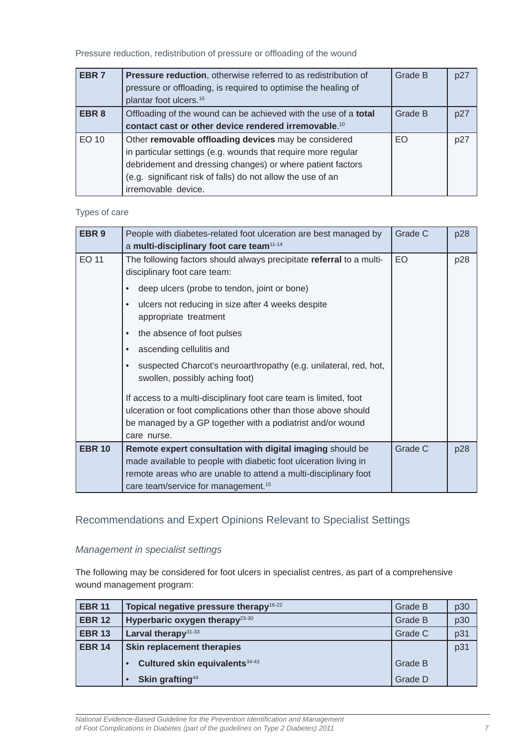<span id="page-6-0"></span>Pressure reduction, redistribution of pressure or offloading of the wound

| EBR <sub>7</sub> | Pressure reduction, otherwise referred to as redistribution of<br>pressure or offloading, is required to optimise the healing of<br>plantar foot ulcers. <sup>10</sup>                                                                                                    | Grade B | p27 |
|------------------|---------------------------------------------------------------------------------------------------------------------------------------------------------------------------------------------------------------------------------------------------------------------------|---------|-----|
| EBR <sub>8</sub> | Offloading of the wound can be achieved with the use of a total<br>contact cast or other device rendered irremovable. <sup>10</sup>                                                                                                                                       | Grade B | p27 |
| EO 10            | Other removable offloading devices may be considered<br>in particular settings (e.g. wounds that require more regular<br>debridement and dressing changes) or where patient factors<br>(e.g. significant risk of falls) do not allow the use of an<br>irremovable device. | EO      | p27 |

#### Types of care

| EBR <sub>9</sub> | People with diabetes-related foot ulceration are best managed by<br>a multi-disciplinary foot care team <sup>11-14</sup> | Grade C | p28 |
|------------------|--------------------------------------------------------------------------------------------------------------------------|---------|-----|
| <b>EO 11</b>     | The following factors should always precipitate referral to a multi-<br>disciplinary foot care team:                     | EO      | p28 |
|                  | deep ulcers (probe to tendon, joint or bone)                                                                             |         |     |
|                  | ulcers not reducing in size after 4 weeks despite<br>$\bullet$<br>appropriate treatment                                  |         |     |
|                  | the absence of foot pulses                                                                                               |         |     |
|                  | ascending cellulitis and<br>$\bullet$                                                                                    |         |     |
|                  | suspected Charcot's neuroarthropathy (e.g. unilateral, red, hot,<br>swollen, possibly aching foot)                       |         |     |
|                  | If access to a multi-disciplinary foot care team is limited, foot                                                        |         |     |
|                  | ulceration or foot complications other than those above should                                                           |         |     |
|                  | be managed by a GP together with a podiatrist and/or wound                                                               |         |     |
|                  | care nurse.                                                                                                              |         |     |
| <b>EBR 10</b>    | Remote expert consultation with digital imaging should be                                                                | Grade C | p28 |
|                  | made available to people with diabetic foot ulceration living in                                                         |         |     |
|                  | remote areas who are unable to attend a multi-disciplinary foot                                                          |         |     |
|                  | care team/service for management. <sup>15</sup>                                                                          |         |     |

# Recommendations and Expert Opinions Relevant to Specialist Settings

#### *Management in specialist settings*

The following may be considered for foot ulcers in specialist centres, as part of a comprehensive wound management program:

| <b>EBR 11</b> | Topical negative pressure therapy <sup>16-22</sup> | Grade B        | p30 |
|---------------|----------------------------------------------------|----------------|-----|
| <b>EBR 12</b> | Hyperbaric oxygen therapy <sup>23-30</sup>         | <b>Grade B</b> | p30 |
| <b>EBR 13</b> | Larval therapy $31-33$                             | Grade C        | p31 |
| <b>EBR 14</b> | <b>Skin replacement therapies</b>                  |                | p31 |
|               | Cultured skin equivalents 34-43                    | <b>Grade B</b> |     |
|               | Skin grafting <sup>44</sup>                        | Grade D        |     |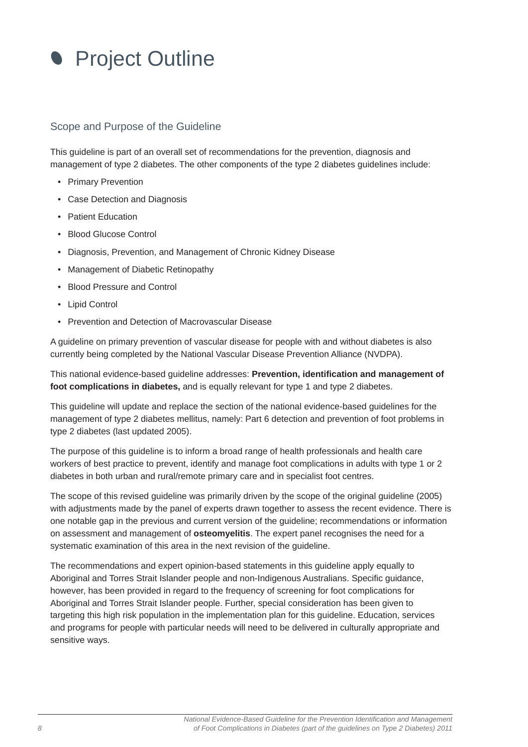<span id="page-7-0"></span>

#### Scope and Purpose of the Guideline

This guideline is part of an overall set of recommendations for the prevention, diagnosis and management of type 2 diabetes. The other components of the type 2 diabetes guidelines include:

- Primary Prevention
- Case Detection and Diagnosis
- Patient Education
- Blood Glucose Control
- Diagnosis, Prevention, and Management of Chronic Kidney Disease
- Management of Diabetic Retinopathy
- Blood Pressure and Control
- Lipid Control
- Prevention and Detection of Macrovascular Disease

A guideline on primary prevention of vascular disease for people with and without diabetes is also currently being completed by the National Vascular Disease Prevention Alliance (NVDPA).

This national evidence-based guideline addresses: **Prevention, identifi cation and management of foot complications in diabetes,** and is equally relevant for type 1 and type 2 diabetes.

This guideline will update and replace the section of the national evidence-based guidelines for the management of type 2 diabetes mellitus, namely: Part 6 detection and prevention of foot problems in type 2 diabetes (last updated 2005).

The purpose of this guideline is to inform a broad range of health professionals and health care workers of best practice to prevent, identify and manage foot complications in adults with type 1 or 2 diabetes in both urban and rural/remote primary care and in specialist foot centres.

The scope of this revised guideline was primarily driven by the scope of the original guideline (2005) with adjustments made by the panel of experts drawn together to assess the recent evidence. There is one notable gap in the previous and current version of the guideline; recommendations or information on assessment and management of **osteomyelitis**. The expert panel recognises the need for a systematic examination of this area in the next revision of the guideline.

The recommendations and expert opinion-based statements in this guideline apply equally to Aboriginal and Torres Strait Islander people and non-Indigenous Australians. Specific quidance, however, has been provided in regard to the frequency of screening for foot complications for Aboriginal and Torres Strait Islander people. Further, special consideration has been given to targeting this high risk population in the implementation plan for this guideline. Education, services and programs for people with particular needs will need to be delivered in culturally appropriate and sensitive ways.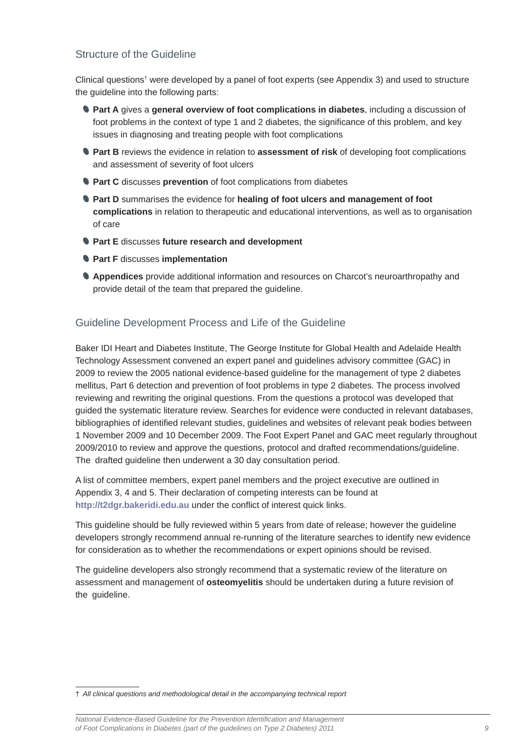## <span id="page-8-0"></span>Structure of the Guideline

Clinical questions<sup>†</sup> were developed by a panel of foot experts (see Appendix 3) and used to structure the guideline into the following parts:

- **Part A** gives a **general overview of foot complications in diabetes**, including a discussion of foot problems in the context of type 1 and 2 diabetes, the significance of this problem, and key issues in diagnosing and treating people with foot complications
- **Part B** reviews the evidence in relation to **assessment of risk** of developing foot complications and assessment of severity of foot ulcers
- **Part C** discusses **prevention** of foot complications from diabetes
- **Part D** summarises the evidence for **healing of foot ulcers and management of foot complications** in relation to therapeutic and educational interventions, as well as to organisation of care
- **Part E** discusses **future research and development**
- **Part F** discusses **implementation**
- **Appendices** provide additional information and resources on Charcot's neuroarthropathy and provide detail of the team that prepared the guideline.

## Guideline Development Process and Life of the Guideline

Baker IDI Heart and Diabetes Institute, The George Institute for Global Health and Adelaide Health Technology Assessment convened an expert panel and guidelines advisory committee (GAC) in 2009 to review the 2005 national evidence-based guideline for the management of type 2 diabetes mellitus, Part 6 detection and prevention of foot problems in type 2 diabetes. The process involved reviewing and rewriting the original questions. From the questions a protocol was developed that guided the systematic literature review. Searches for evidence were conducted in relevant databases, bibliographies of identified relevant studies, guidelines and websites of relevant peak bodies between 1 November 2009 and 10 December 2009. The Foot Expert Panel and GAC meet regularly throughout 2009/2010 to review and approve the questions, protocol and drafted recommendations/guideline. The drafted guideline then underwent a 30 day consultation period.

A list of committee members, expert panel members and the project executive are outlined in Appendix 3, 4 and 5. Their declaration of competing interests can be found at **http://t2dgr.bakeridi.edu.au** under the conflict of interest quick links.

This guideline should be fully reviewed within 5 years from date of release; however the guideline developers strongly recommend annual re-running of the literature searches to identify new evidence for consideration as to whether the recommendations or expert opinions should be revised.

The guideline developers also strongly recommend that a systematic review of the literature on assessment and management of **osteomyelitis** should be undertaken during a future revision of the guideline.

† *All clinical questions and methodological detail in the accompanying technical report*

*National Evidence-Based Guideline for the Prevention Identifi cation and Management of Foot Complications in Diabetes (part of the guidelines on Type 2 Diabetes) 2011 9*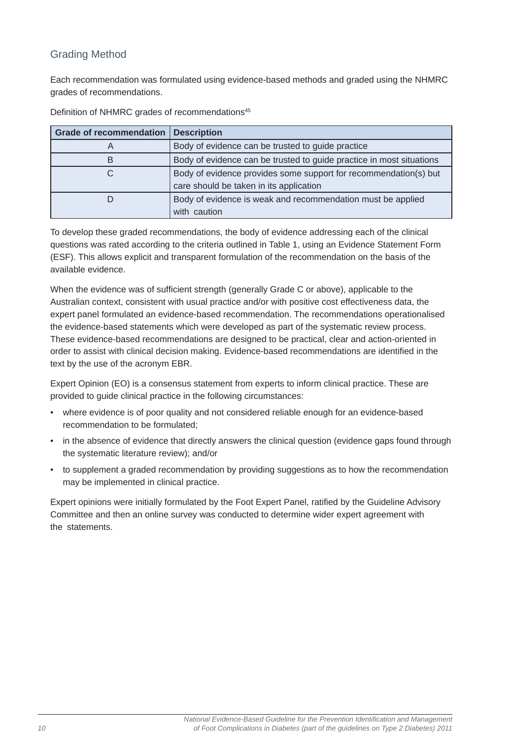# <span id="page-9-0"></span>Grading Method

Each recommendation was formulated using evidence-based methods and graded using the NHMRC grades of recommendations.

| <b>Grade of recommendation</b> | <b>Description</b>                                                   |  |
|--------------------------------|----------------------------------------------------------------------|--|
| A                              | Body of evidence can be trusted to guide practice                    |  |
|                                | Body of evidence can be trusted to guide practice in most situations |  |
|                                | Body of evidence provides some support for recommendation(s) but     |  |
|                                | care should be taken in its application                              |  |
|                                | Body of evidence is weak and recommendation must be applied          |  |
|                                | with caution                                                         |  |

Definition of NHMRC grades of recommendations<sup>45</sup>

To develop these graded recommendations, the body of evidence addressing each of the clinical questions was rated according to the criteria outlined in Table 1, using an Evidence Statement Form (ESF). This allows explicit and transparent formulation of the recommendation on the basis of the available evidence.

When the evidence was of sufficient strength (generally Grade C or above), applicable to the Australian context, consistent with usual practice and/or with positive cost effectiveness data, the expert panel formulated an evidence-based recommendation. The recommendations operationalised the evidence-based statements which were developed as part of the systematic review process. These evidence-based recommendations are designed to be practical, clear and action-oriented in order to assist with clinical decision making. Evidence-based recommendations are identified in the text by the use of the acronym EBR.

Expert Opinion (EO) is a consensus statement from experts to inform clinical practice. These are provided to guide clinical practice in the following circumstances:

- where evidence is of poor quality and not considered reliable enough for an evidence-based recommendation to be formulated;
- in the absence of evidence that directly answers the clinical question (evidence gaps found through the systematic literature review); and/or
- to supplement a graded recommendation by providing suggestions as to how the recommendation may be implemented in clinical practice.

Expert opinions were initially formulated by the Foot Expert Panel, ratified by the Guideline Advisory Committee and then an online survey was conducted to determine wider expert agreement with the statements.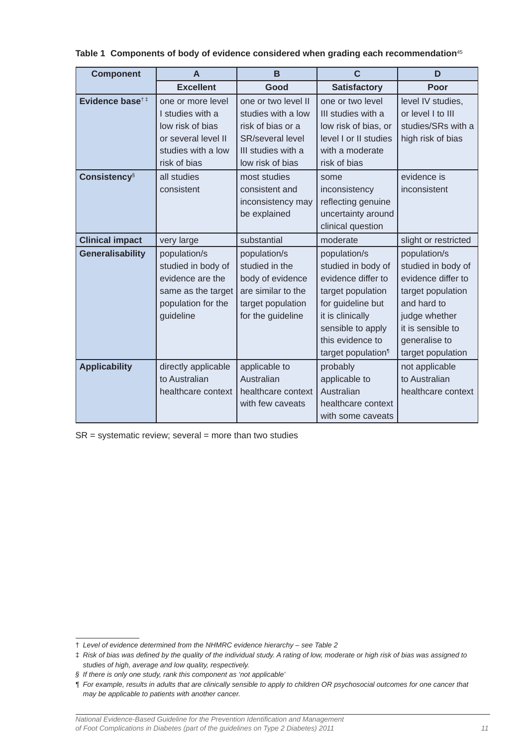| <b>Component</b>            | A                   | B                       | $\mathbf{C}$                   | D                    |
|-----------------------------|---------------------|-------------------------|--------------------------------|----------------------|
|                             | <b>Excellent</b>    | Good                    | <b>Satisfactory</b>            | Poor                 |
| Evidence base <sup>†‡</sup> | one or more level   | one or two level II     | one or two level               | level IV studies,    |
|                             | I studies with a    | studies with a low      | III studies with a             | or level I to III    |
|                             | low risk of bias    | risk of bias or a       | low risk of bias, or           | studies/SRs with a   |
|                             | or several level II | <b>SR/several level</b> | level I or II studies          | high risk of bias    |
|                             | studies with a low  | III studies with a      | with a moderate                |                      |
|                             | risk of bias        | low risk of bias        | risk of bias                   |                      |
| <b>Consistency</b> §        | all studies         | most studies            | some                           | evidence is          |
|                             | consistent          | consistent and          | inconsistency                  | inconsistent         |
|                             |                     | inconsistency may       | reflecting genuine             |                      |
|                             |                     | be explained            | uncertainty around             |                      |
|                             |                     |                         | clinical question              |                      |
| <b>Clinical impact</b>      | very large          | substantial             | moderate                       | slight or restricted |
| <b>Generalisability</b>     | population/s        | population/s            | population/s                   | population/s         |
|                             | studied in body of  | studied in the          | studied in body of             | studied in body of   |
|                             | evidence are the    | body of evidence        | evidence differ to             | evidence differ to   |
|                             | same as the target  | are similar to the      | target population              | target population    |
|                             | population for the  | target population       | for guideline but              | and hard to          |
|                             | guideline           | for the guideline       | it is clinically               | judge whether        |
|                             |                     |                         | sensible to apply              | it is sensible to    |
|                             |                     |                         | this evidence to               | generalise to        |
|                             |                     |                         | target population <sup>1</sup> | target population    |
| <b>Applicability</b>        | directly applicable | applicable to           | probably                       | not applicable       |
|                             | to Australian       | Australian              | applicable to                  | to Australian        |
|                             | healthcare context  | healthcare context      | Australian                     | healthcare context   |
|                             |                     | with few caveats        | healthcare context             |                      |
|                             |                     |                         | with some caveats              |                      |

#### **Table 1 Components of body of evidence considered when grading each recommendation**<sup>45</sup>

 $SR =$  systematic review; several = more than two studies

*National Evidence-Based Guideline for the Prevention Identifi cation and Management*  of Foot Complications in Diabetes (part of the guidelines on Type 2 Diabetes) 2011

<sup>†</sup> *Level of evidence determined from the NHMRC evidence hierarchy – see Table 2*

 $\ddagger$  Risk of bias was defined by the quality of the individual study. A rating of low, moderate or high risk of bias was assigned to *studies of high, average and low quality, respectively.* 

*<sup>§</sup> If there is only one study, rank this component as 'not applicable'*

*<sup>¶</sup> For example, results in adults that are clinically sensible to apply to children OR psychosocial outcomes for one cancer that may be applicable to patients with another cancer.*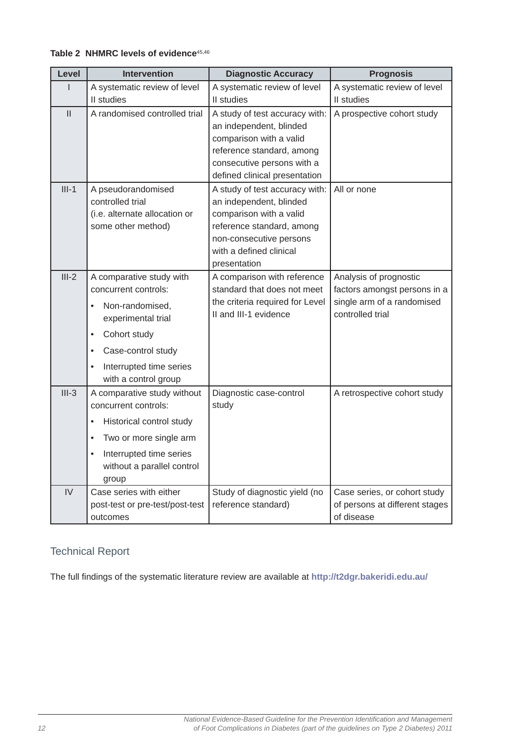<span id="page-11-0"></span>

|  |  |  |  | Table 2 NHMRC levels of evidence <sup>45,46</sup> |
|--|--|--|--|---------------------------------------------------|
|--|--|--|--|---------------------------------------------------|

| Level         | <b>Intervention</b>                                                                                                                                                                                                       | <b>Diagnostic Accuracy</b>                                                                                                                                                              | <b>Prognosis</b>                                                                                         |
|---------------|---------------------------------------------------------------------------------------------------------------------------------------------------------------------------------------------------------------------------|-----------------------------------------------------------------------------------------------------------------------------------------------------------------------------------------|----------------------------------------------------------------------------------------------------------|
| ı             | A systematic review of level                                                                                                                                                                                              | A systematic review of level                                                                                                                                                            | A systematic review of level                                                                             |
|               | II studies                                                                                                                                                                                                                | II studies                                                                                                                                                                              | II studies                                                                                               |
| $\mathbf{II}$ | A randomised controlled trial                                                                                                                                                                                             | A study of test accuracy with:<br>an independent, blinded<br>comparison with a valid<br>reference standard, among<br>consecutive persons with a                                         | A prospective cohort study                                                                               |
|               |                                                                                                                                                                                                                           | defined clinical presentation                                                                                                                                                           |                                                                                                          |
| $III-1$       | A pseudorandomised<br>controlled trial<br>(i.e. alternate allocation or<br>some other method)                                                                                                                             | A study of test accuracy with:<br>an independent, blinded<br>comparison with a valid<br>reference standard, among<br>non-consecutive persons<br>with a defined clinical<br>presentation | All or none                                                                                              |
| $III-2$       | A comparative study with<br>concurrent controls:<br>Non-randomised,<br>$\bullet$<br>experimental trial<br>Cohort study<br>$\bullet$<br>Case-control study<br>$\bullet$<br>Interrupted time series<br>with a control group | A comparison with reference<br>standard that does not meet<br>the criteria required for Level<br>II and III-1 evidence                                                                  | Analysis of prognostic<br>factors amongst persons in a<br>single arm of a randomised<br>controlled trial |
| $III-3$       | A comparative study without<br>concurrent controls:<br>Historical control study<br>$\bullet$<br>Two or more single arm<br>$\bullet$<br>Interrupted time series<br>$\bullet$<br>without a parallel control<br>group        | Diagnostic case-control<br>study                                                                                                                                                        | A retrospective cohort study                                                                             |
| IV            | Case series with either<br>post-test or pre-test/post-test<br>outcomes                                                                                                                                                    | Study of diagnostic yield (no<br>reference standard)                                                                                                                                    | Case series, or cohort study<br>of persons at different stages<br>of disease                             |

# Technical Report

The full findings of the systematic literature review are available at http://t2dgr.bakeridi.edu.au/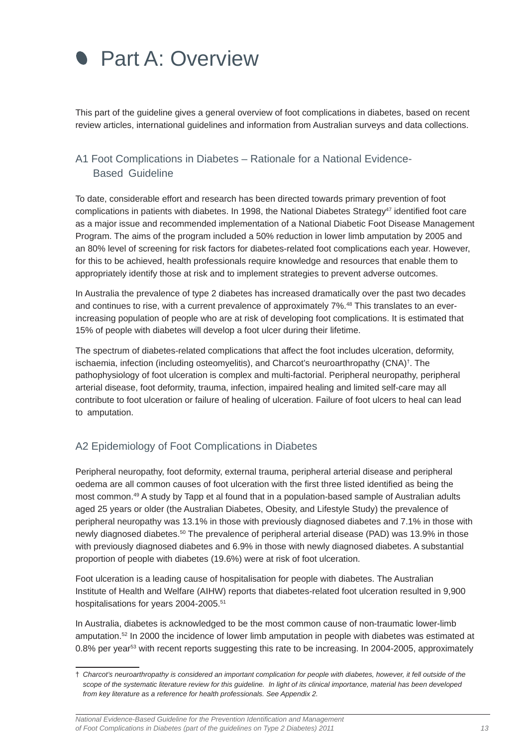<span id="page-12-0"></span>

This part of the guideline gives a general overview of foot complications in diabetes, based on recent review articles, international guidelines and information from Australian surveys and data collections.

# A1 Foot Complications in Diabetes – Rationale for a National Evidence-Based Guideline

To date, considerable effort and research has been directed towards primary prevention of foot complications in patients with diabetes. In 1998, the National Diabetes Strategy<sup>47</sup> identified foot care as a major issue and recommended implementation of a National Diabetic Foot Disease Management Program. The aims of the program included a 50% reduction in lower limb amputation by 2005 and an 80% level of screening for risk factors for diabetes-related foot complications each year. However, for this to be achieved, health professionals require knowledge and resources that enable them to appropriately identify those at risk and to implement strategies to prevent adverse outcomes.

In Australia the prevalence of type 2 diabetes has increased dramatically over the past two decades and continues to rise, with a current prevalence of approximately 7%.<sup>48</sup> This translates to an everincreasing population of people who are at risk of developing foot complications. It is estimated that 15% of people with diabetes will develop a foot ulcer during their lifetime.

The spectrum of diabetes-related complications that affect the foot includes ulceration, deformity, ischaemia, infection (including osteomyelitis), and Charcot's neuroarthropathy (CNA)† . The pathophysiology of foot ulceration is complex and multi-factorial. Peripheral neuropathy, peripheral arterial disease, foot deformity, trauma, infection, impaired healing and limited self-care may all contribute to foot ulceration or failure of healing of ulceration. Failure of foot ulcers to heal can lead to amputation.

### A2 Epidemiology of Foot Complications in Diabetes

Peripheral neuropathy, foot deformity, external trauma, peripheral arterial disease and peripheral oedema are all common causes of foot ulceration with the first three listed identified as being the most common.49 A study by Tapp et al found that in a population-based sample of Australian adults aged 25 years or older (the Australian Diabetes, Obesity, and Lifestyle Study) the prevalence of peripheral neuropathy was 13.1% in those with previously diagnosed diabetes and 7.1% in those with newly diagnosed diabetes.<sup>50</sup> The prevalence of peripheral arterial disease (PAD) was 13.9% in those with previously diagnosed diabetes and 6.9% in those with newly diagnosed diabetes. A substantial proportion of people with diabetes (19.6%) were at risk of foot ulceration.

Foot ulceration is a leading cause of hospitalisation for people with diabetes. The Australian Institute of Health and Welfare (AIHW) reports that diabetes-related foot ulceration resulted in 9,900 hospitalisations for years 2004-2005.51

In Australia, diabetes is acknowledged to be the most common cause of non-traumatic lower-limb amputation.52 In 2000 the incidence of lower limb amputation in people with diabetes was estimated at 0.8% per year<sup>53</sup> with recent reports suggesting this rate to be increasing. In 2004-2005, approximately

*National Evidence-Based Guideline for the Prevention Identifi cation and Management of Foot Complications in Diabetes (part of the guidelines on Type 2 Diabetes) 2011* 13

<sup>†</sup> *Charcot's neuroarthropathy is considered an important complication for people with diabetes, however, it fell outside of the scope of the systematic literature review for this guideline. In light of its clinical importance, material has been developed from key literature as a reference for health professionals. See Appendix 2.*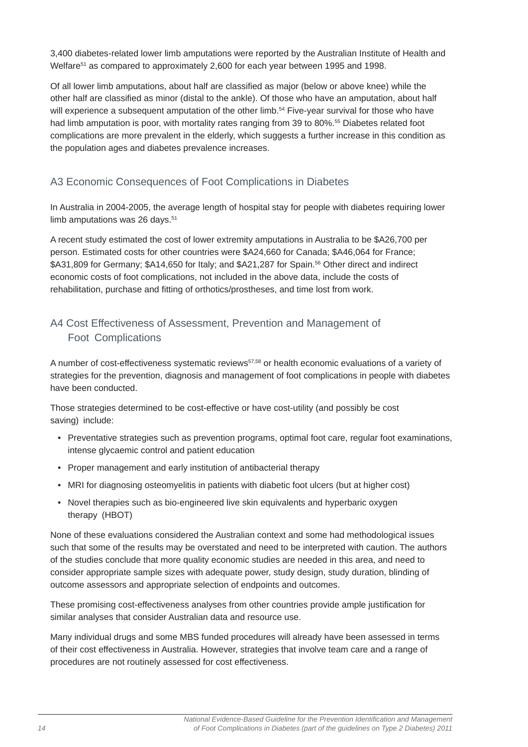<span id="page-13-0"></span>3,400 diabetes-related lower limb amputations were reported by the Australian Institute of Health and Welfare<sup>51</sup> as compared to approximately 2,600 for each year between 1995 and 1998.

Of all lower limb amputations, about half are classified as major (below or above knee) while the other half are classified as minor (distal to the ankle). Of those who have an amputation, about half will experience a subsequent amputation of the other limb.<sup>54</sup> Five-year survival for those who have had limb amputation is poor, with mortality rates ranging from 39 to 80%.<sup>55</sup> Diabetes related foot complications are more prevalent in the elderly, which suggests a further increase in this condition as the population ages and diabetes prevalence increases.

# A3 Economic Consequences of Foot Complications in Diabetes

In Australia in 2004-2005, the average length of hospital stay for people with diabetes requiring lower limb amputations was 26 days.<sup>51</sup>

A recent study estimated the cost of lower extremity amputations in Australia to be \$A26,700 per person. Estimated costs for other countries were \$A24,660 for Canada; \$A46,064 for France; \$A31,809 for Germany; \$A14,650 for Italy; and \$A21,287 for Spain.<sup>56</sup> Other direct and indirect economic costs of foot complications, not included in the above data, include the costs of rehabilitation, purchase and fitting of orthotics/prostheses, and time lost from work.

# A4 Cost Effectiveness of Assessment, Prevention and Management of Foot Complications

A number of cost-effectiveness systematic reviews57,58 or health economic evaluations of a variety of strategies for the prevention, diagnosis and management of foot complications in people with diabetes have been conducted.

Those strategies determined to be cost-effective or have cost-utility (and possibly be cost saving) include:

- Preventative strategies such as prevention programs, optimal foot care, regular foot examinations, intense glycaemic control and patient education
- Proper management and early institution of antibacterial therapy
- MRI for diagnosing osteomyelitis in patients with diabetic foot ulcers (but at higher cost)
- Novel therapies such as bio-engineered live skin equivalents and hyperbaric oxygen therapy (HBOT)

None of these evaluations considered the Australian context and some had methodological issues such that some of the results may be overstated and need to be interpreted with caution. The authors of the studies conclude that more quality economic studies are needed in this area, and need to consider appropriate sample sizes with adequate power, study design, study duration, blinding of outcome assessors and appropriate selection of endpoints and outcomes.

These promising cost-effectiveness analyses from other countries provide ample justification for similar analyses that consider Australian data and resource use.

Many individual drugs and some MBS funded procedures will already have been assessed in terms of their cost effectiveness in Australia. However, strategies that involve team care and a range of procedures are not routinely assessed for cost effectiveness.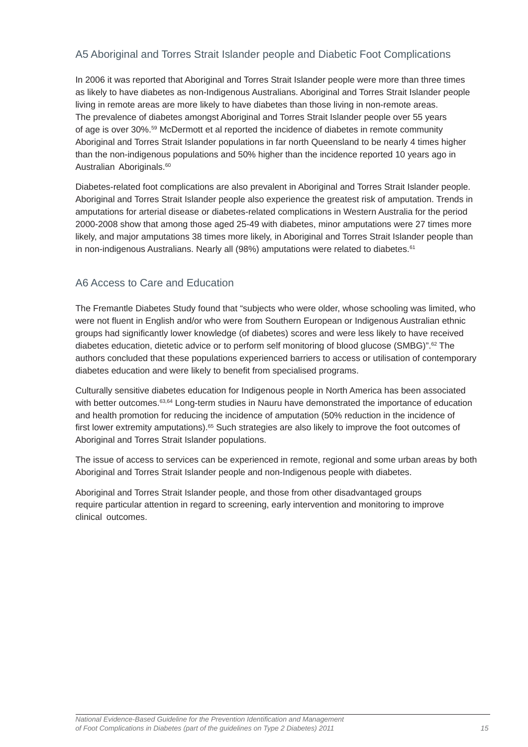# <span id="page-14-0"></span>A5 Aboriginal and Torres Strait Islander people and Diabetic Foot Complications

In 2006 it was reported that Aboriginal and Torres Strait Islander people were more than three times as likely to have diabetes as non-Indigenous Australians. Aboriginal and Torres Strait Islander people living in remote areas are more likely to have diabetes than those living in non-remote areas. The prevalence of diabetes amongst Aboriginal and Torres Strait Islander people over 55 years of age is over 30%.59 McDermott et al reported the incidence of diabetes in remote community Aboriginal and Torres Strait Islander populations in far north Queensland to be nearly 4 times higher than the non-indigenous populations and 50% higher than the incidence reported 10 years ago in Australian Aboriginals.<sup>60</sup>

Diabetes-related foot complications are also prevalent in Aboriginal and Torres Strait Islander people. Aboriginal and Torres Strait Islander people also experience the greatest risk of amputation. Trends in amputations for arterial disease or diabetes-related complications in Western Australia for the period 2000-2008 show that among those aged 25-49 with diabetes, minor amputations were 27 times more likely, and major amputations 38 times more likely, in Aboriginal and Torres Strait Islander people than in non-indigenous Australians. Nearly all (98%) amputations were related to diabetes.<sup>61</sup>

## A6 Access to Care and Education

The Fremantle Diabetes Study found that "subjects who were older, whose schooling was limited, who were not fluent in English and/or who were from Southern European or Indigenous Australian ethnic groups had significantly lower knowledge (of diabetes) scores and were less likely to have received diabetes education, dietetic advice or to perform self monitoring of blood glucose (SMBG)".62 The authors concluded that these populations experienced barriers to access or utilisation of contemporary diabetes education and were likely to benefit from specialised programs.

Culturally sensitive diabetes education for Indigenous people in North America has been associated with better outcomes.<sup>63,64</sup> Long-term studies in Nauru have demonstrated the importance of education and health promotion for reducing the incidence of amputation (50% reduction in the incidence of first lower extremity amputations).<sup>65</sup> Such strategies are also likely to improve the foot outcomes of Aboriginal and Torres Strait Islander populations.

The issue of access to services can be experienced in remote, regional and some urban areas by both Aboriginal and Torres Strait Islander people and non-Indigenous people with diabetes.

Aboriginal and Torres Strait Islander people, and those from other disadvantaged groups require particular attention in regard to screening, early intervention and monitoring to improve clinical outcomes.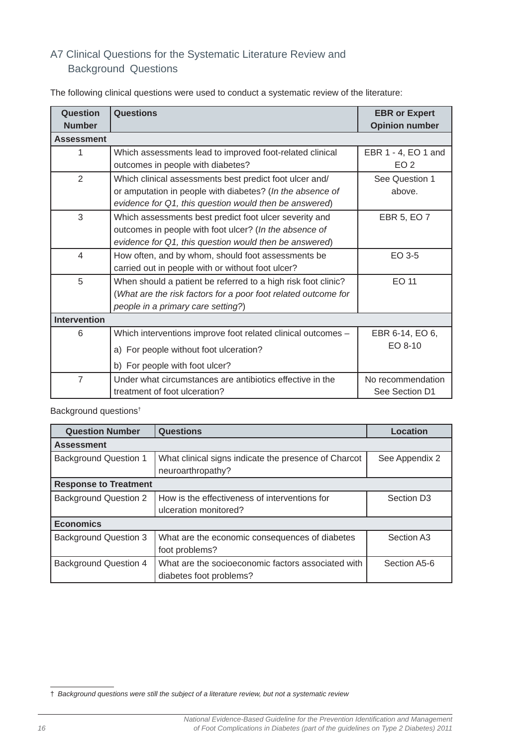# <span id="page-15-0"></span>A7 Clinical Questions for the Systematic Literature Review and Background Questions

| Question<br><b>Number</b> | Questions                                                                                                                                                                      | <b>EBR or Expert</b><br><b>Opinion number</b> |
|---------------------------|--------------------------------------------------------------------------------------------------------------------------------------------------------------------------------|-----------------------------------------------|
| <b>Assessment</b>         |                                                                                                                                                                                |                                               |
| 1                         | Which assessments lead to improved foot-related clinical<br>outcomes in people with diabetes?                                                                                  | EBR 1 - 4, EO 1 and<br>EO <sub>2</sub>        |
| $\overline{2}$            | Which clinical assessments best predict foot ulcer and/<br>or amputation in people with diabetes? (In the absence of<br>evidence for Q1, this question would then be answered) | See Question 1<br>above.                      |
| 3                         | Which assessments best predict foot ulcer severity and<br>outcomes in people with foot ulcer? (In the absence of<br>evidence for Q1, this question would then be answered)     | EBR 5, EO 7                                   |
| $\overline{4}$            | How often, and by whom, should foot assessments be<br>carried out in people with or without foot ulcer?                                                                        | EO 3-5                                        |
| 5                         | When should a patient be referred to a high risk foot clinic?<br>(What are the risk factors for a poor foot related outcome for<br>people in a primary care setting?)          | EO 11                                         |
| <b>Intervention</b>       |                                                                                                                                                                                |                                               |
| 6                         | Which interventions improve foot related clinical outcomes -<br>a) For people without foot ulceration?<br>b) For people with foot ulcer?                                       | EBR 6-14, EO 6,<br>EO 8-10                    |
| $\overline{7}$            | Under what circumstances are antibiotics effective in the<br>treatment of foot ulceration?                                                                                     | No recommendation<br>See Section D1           |

The following clinical questions were used to conduct a systematic review of the literature:

Background questions†

| <b>Question Number</b>       | <b>Questions</b>                                     | Location               |
|------------------------------|------------------------------------------------------|------------------------|
| <b>Assessment</b>            |                                                      |                        |
| <b>Background Question 1</b> | What clinical signs indicate the presence of Charcot | See Appendix 2         |
|                              | neuroarthropathy?                                    |                        |
| <b>Response to Treatment</b> |                                                      |                        |
| <b>Background Question 2</b> | How is the effectiveness of interventions for        | Section D <sub>3</sub> |
|                              | ulceration monitored?                                |                        |
| <b>Economics</b>             |                                                      |                        |
| <b>Background Question 3</b> | What are the economic consequences of diabetes       | Section A3             |
|                              | foot problems?                                       |                        |
| <b>Background Question 4</b> | What are the socioeconomic factors associated with   | Section A5-6           |
|                              | diabetes foot problems?                              |                        |

<sup>†</sup> *Background questions were still the subject of a literature review, but not a systematic review*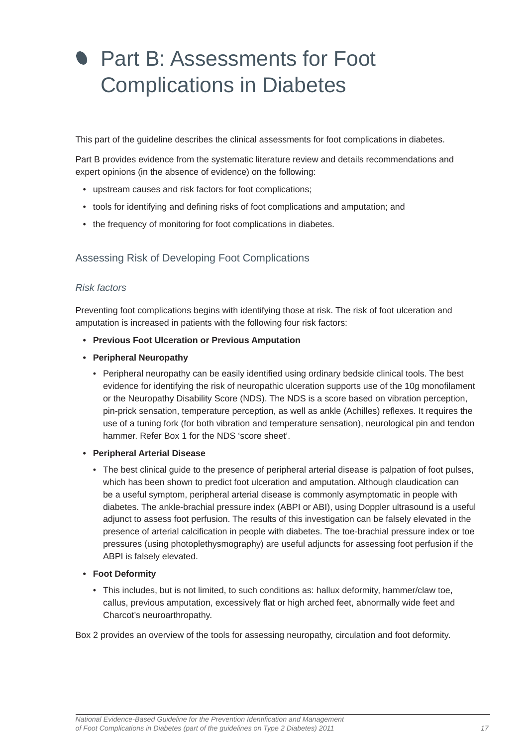# <span id="page-16-0"></span>**Part B: Assessments for Foot** Complications in Diabetes

This part of the guideline describes the clinical assessments for foot complications in diabetes.

Part B provides evidence from the systematic literature review and details recommendations and expert opinions (in the absence of evidence) on the following:

- upstream causes and risk factors for foot complications;
- tools for identifying and defining risks of foot complications and amputation; and
- the frequency of monitoring for foot complications in diabetes.

## Assessing Risk of Developing Foot Complications

#### *Risk factors*

Preventing foot complications begins with identifying those at risk. The risk of foot ulceration and amputation is increased in patients with the following four risk factors:

- **Previous Foot Ulceration or Previous Amputation**
- **Peripheral Neuropathy**
	- Peripheral neuropathy can be easily identified using ordinary bedside clinical tools. The best evidence for identifying the risk of neuropathic ulceration supports use of the 10g monofilament or the Neuropathy Disability Score (NDS). The NDS is a score based on vibration perception, pin-prick sensation, temperature perception, as well as ankle (Achilles) reflexes. It requires the use of a tuning fork (for both vibration and temperature sensation), neurological pin and tendon hammer. Refer Box 1 for the NDS 'score sheet'.

#### **• Peripheral Arterial Disease**

• The best clinical guide to the presence of peripheral arterial disease is palpation of foot pulses, which has been shown to predict foot ulceration and amputation. Although claudication can be a useful symptom, peripheral arterial disease is commonly asymptomatic in people with diabetes. The ankle-brachial pressure index (ABPI or ABI), using Doppler ultrasound is a useful adjunct to assess foot perfusion. The results of this investigation can be falsely elevated in the presence of arterial calcification in people with diabetes. The toe-brachial pressure index or toe pressures (using photoplethysmography) are useful adjuncts for assessing foot perfusion if the ABPI is falsely elevated.

#### **• Foot Deformity**

• This includes, but is not limited, to such conditions as: hallux deformity, hammer/claw toe, callus, previous amputation, excessively flat or high arched feet, abnormally wide feet and Charcot's neuroarthropathy.

Box 2 provides an overview of the tools for assessing neuropathy, circulation and foot deformity.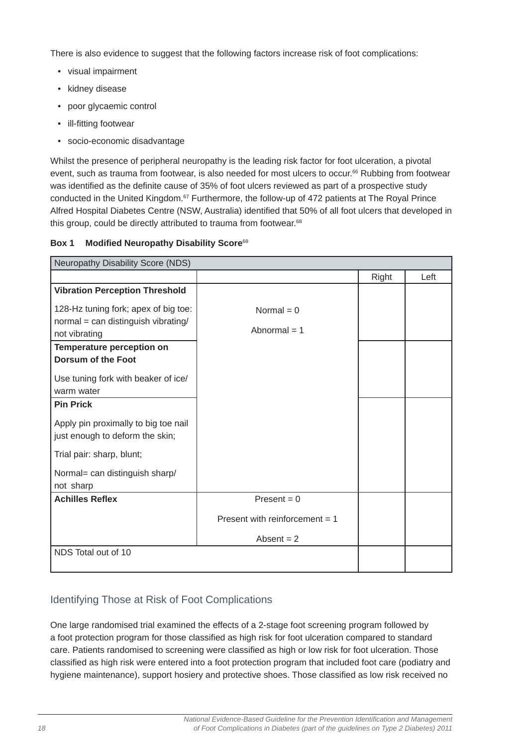<span id="page-17-0"></span>There is also evidence to suggest that the following factors increase risk of foot complications:

- visual impairment
- kidney disease
- poor glycaemic control
- ill-fitting footwear
- socio-economic disadvantage

Whilst the presence of peripheral neuropathy is the leading risk factor for foot ulceration, a pivotal event, such as trauma from footwear, is also needed for most ulcers to occur.66 Rubbing from footwear was identified as the definite cause of 35% of foot ulcers reviewed as part of a prospective study conducted in the United Kingdom.<sup>67</sup> Furthermore, the follow-up of 472 patients at The Royal Prince Alfred Hospital Diabetes Centre (NSW, Australia) identified that 50% of all foot ulcers that developed in this group, could be directly attributed to trauma from footwear.<sup>68</sup>

#### **Box 1 Modified Neuropathy Disability Score<sup>69</sup>**

| Neuropathy Disability Score (NDS)                                                                                                                                                                           |                                  |       |      |
|-------------------------------------------------------------------------------------------------------------------------------------------------------------------------------------------------------------|----------------------------------|-------|------|
|                                                                                                                                                                                                             |                                  | Right | Left |
| <b>Vibration Perception Threshold</b>                                                                                                                                                                       |                                  |       |      |
| 128-Hz tuning fork; apex of big toe:<br>normal = can distinguish vibrating/<br>not vibrating<br>Temperature perception on<br><b>Dorsum of the Foot</b><br>Use tuning fork with beaker of ice/<br>warm water | Normal = $0$<br>Abnormal $= 1$   |       |      |
| <b>Pin Prick</b>                                                                                                                                                                                            |                                  |       |      |
| Apply pin proximally to big toe nail<br>just enough to deform the skin;<br>Trial pair: sharp, blunt;                                                                                                        |                                  |       |      |
| Normal= can distinguish sharp/<br>not sharp                                                                                                                                                                 |                                  |       |      |
| <b>Achilles Reflex</b>                                                                                                                                                                                      | $Present = 0$                    |       |      |
|                                                                                                                                                                                                             | Present with reinforcement $= 1$ |       |      |
|                                                                                                                                                                                                             | Absent $= 2$                     |       |      |
| NDS Total out of 10                                                                                                                                                                                         |                                  |       |      |

# Identifying Those at Risk of Foot Complications

One large randomised trial examined the effects of a 2-stage foot screening program followed by a foot protection program for those classified as high risk for foot ulceration compared to standard care. Patients randomised to screening were classified as high or low risk for foot ulceration. Those classified as high risk were entered into a foot protection program that included foot care (podiatry and hygiene maintenance), support hosiery and protective shoes. Those classified as low risk received no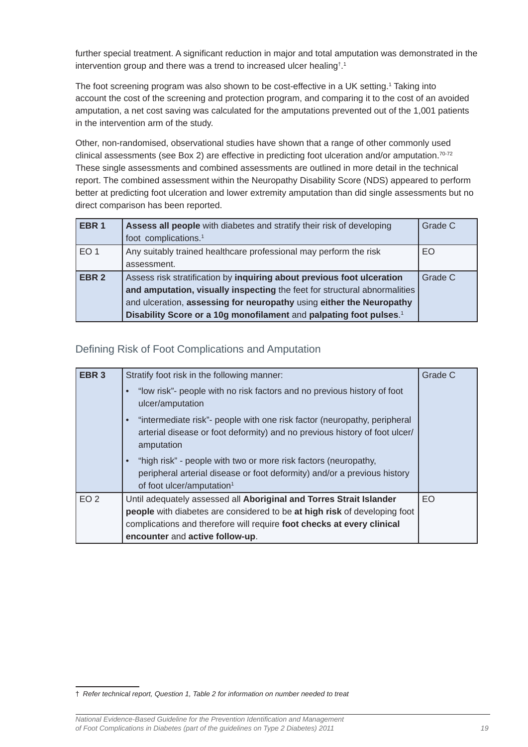<span id="page-18-0"></span>further special treatment. A significant reduction in major and total amputation was demonstrated in the intervention group and there was a trend to increased ulcer healing† . 1

The foot screening program was also shown to be cost-effective in a UK setting.<sup>1</sup> Taking into account the cost of the screening and protection program, and comparing it to the cost of an avoided amputation, a net cost saving was calculated for the amputations prevented out of the 1,001 patients in the intervention arm of the study.

Other, non-randomised, observational studies have shown that a range of other commonly used clinical assessments (see Box 2) are effective in predicting foot ulceration and/or amputation.<sup>70-72</sup> These single assessments and combined assessments are outlined in more detail in the technical report. The combined assessment within the Neuropathy Disability Score (NDS) appeared to perform better at predicting foot ulceration and lower extremity amputation than did single assessments but no direct comparison has been reported.

| EBR <sub>1</sub> | Assess all people with diabetes and stratify their risk of developing          | Grade C |
|------------------|--------------------------------------------------------------------------------|---------|
|                  | foot complications. <sup>1</sup>                                               |         |
| EO <sub>1</sub>  | Any suitably trained healthcare professional may perform the risk              | EO      |
|                  | assessment.                                                                    |         |
| EBR <sub>2</sub> | Assess risk stratification by inquiring about previous foot ulceration         | Grade C |
|                  | and amputation, visually inspecting the feet for structural abnormalities      |         |
|                  | and ulceration, assessing for neuropathy using either the Neuropathy           |         |
|                  | Disability Score or a 10g monofilament and palpating foot pulses. <sup>1</sup> |         |

Defining Risk of Foot Complications and Amputation

| EBR <sub>3</sub> | Stratify foot risk in the following manner:                                                                                                                                                       | Grade C |
|------------------|---------------------------------------------------------------------------------------------------------------------------------------------------------------------------------------------------|---------|
|                  | "low risk"- people with no risk factors and no previous history of foot<br>ulcer/amputation                                                                                                       |         |
|                  | "intermediate risk"- people with one risk factor (neuropathy, peripheral<br>$\bullet$<br>arterial disease or foot deformity) and no previous history of foot ulcer/<br>amputation                 |         |
|                  | "high risk" - people with two or more risk factors (neuropathy,<br>$\bullet$<br>peripheral arterial disease or foot deformity) and/or a previous history<br>of foot ulcer/amputation <sup>1</sup> |         |
| EO <sub>2</sub>  | Until adequately assessed all Aboriginal and Torres Strait Islander                                                                                                                               | EO      |
|                  | people with diabetes are considered to be at high risk of developing foot                                                                                                                         |         |
|                  | complications and therefore will require foot checks at every clinical                                                                                                                            |         |
|                  | encounter and active follow-up.                                                                                                                                                                   |         |

*National Evidence-Based Guideline for the Prevention Identifi cation and Management of Foot Complications in Diabetes (part of the guidelines on Type 2 Diabetes) 2011* 19

<sup>†</sup> *Refer technical report, Question 1, Table 2 for information on number needed to treat*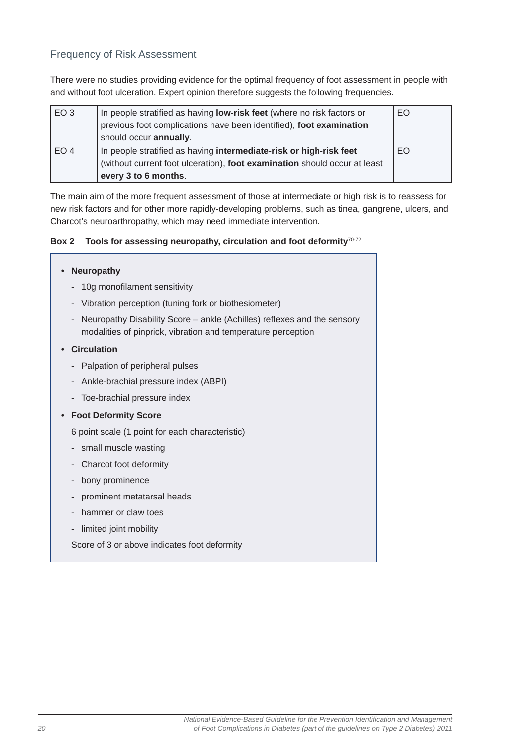## <span id="page-19-0"></span>Frequency of Risk Assessment

There were no studies providing evidence for the optimal frequency of foot assessment in people with and without foot ulceration. Expert opinion therefore suggests the following frequencies.

| EO <sub>3</sub> | In people stratified as having low-risk feet (where no risk factors or<br>previous foot complications have been identified), foot examination<br>should occur annually. | EO |
|-----------------|-------------------------------------------------------------------------------------------------------------------------------------------------------------------------|----|
| EO <sub>4</sub> | In people stratified as having intermediate-risk or high-risk feet<br>(without current foot ulceration), foot examination should occur at least<br>every 3 to 6 months. | EO |

The main aim of the more frequent assessment of those at intermediate or high risk is to reassess for new risk factors and for other more rapidly-developing problems, such as tinea, gangrene, ulcers, and Charcot's neuroarthropathy, which may need immediate intervention.

#### Box 2 Tools for assessing neuropathy, circulation and foot deformity<sup>70-72</sup>

| <b>Neuropathy</b>                                                                                                                                                   |
|---------------------------------------------------------------------------------------------------------------------------------------------------------------------|
| 10g monofilament sensitivity<br>$\overline{\phantom{a}}$                                                                                                            |
| Vibration perception (tuning fork or biothesiometer)<br>$\overline{\phantom{0}}$                                                                                    |
| Neuropathy Disability Score – ankle (Achilles) reflexes and the sensory<br>$\overline{\phantom{m}}$<br>modalities of pinprick, vibration and temperature perception |
| <b>Circulation</b>                                                                                                                                                  |
| Palpation of peripheral pulses<br>$\overline{\phantom{a}}$                                                                                                          |
| Ankle-brachial pressure index (ABPI)<br>-                                                                                                                           |
| - Toe-brachial pressure index                                                                                                                                       |
| <b>Foot Deformity Score</b>                                                                                                                                         |
| 6 point scale (1 point for each characteristic)                                                                                                                     |
| small muscle wasting<br>$\overline{\phantom{0}}$                                                                                                                    |
| Charcot foot deformity                                                                                                                                              |
| bony prominence                                                                                                                                                     |
| prominent metatarsal heads                                                                                                                                          |
| hammer or claw toes                                                                                                                                                 |
| limited joint mobility                                                                                                                                              |

Score of 3 or above indicates foot deformity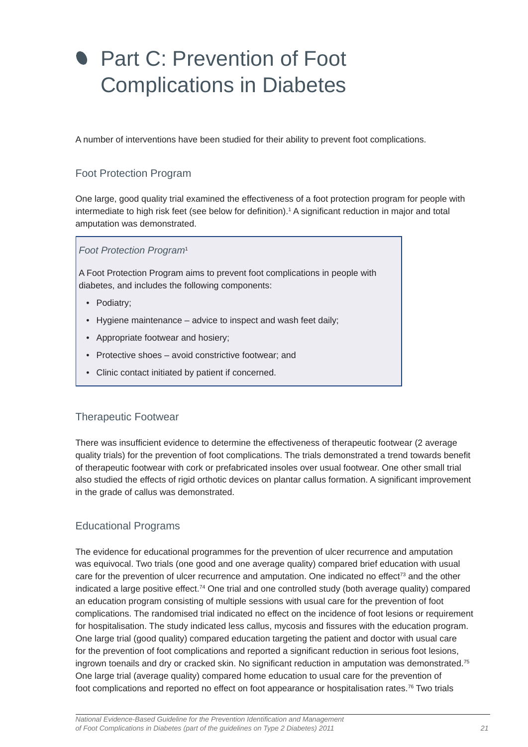# <span id="page-20-0"></span>**Part C: Prevention of Foot** Complications in Diabetes

A number of interventions have been studied for their ability to prevent foot complications.

# Foot Protection Program

One large, good quality trial examined the effectiveness of a foot protection program for people with intermediate to high risk feet (see below for definition).<sup>1</sup> A significant reduction in major and total amputation was demonstrated.

#### *Foot Protection Program*<sup>1</sup>

A Foot Protection Program aims to prevent foot complications in people with diabetes, and includes the following components:

- Podiatry;
- Hygiene maintenance advice to inspect and wash feet daily;
- Appropriate footwear and hosiery;
- Protective shoes avoid constrictive footwear; and
- Clinic contact initiated by patient if concerned.

### Therapeutic Footwear

There was insufficient evidence to determine the effectiveness of therapeutic footwear (2 average quality trials) for the prevention of foot complications. The trials demonstrated a trend towards benefit of therapeutic footwear with cork or prefabricated insoles over usual footwear. One other small trial also studied the effects of rigid orthotic devices on plantar callus formation. A significant improvement in the grade of callus was demonstrated.

# Educational Programs

The evidence for educational programmes for the prevention of ulcer recurrence and amputation was equivocal. Two trials (one good and one average quality) compared brief education with usual care for the prevention of ulcer recurrence and amputation. One indicated no effect<sup> $73$ </sup> and the other indicated a large positive effect.74 One trial and one controlled study (both average quality) compared an education program consisting of multiple sessions with usual care for the prevention of foot complications. The randomised trial indicated no effect on the incidence of foot lesions or requirement for hospitalisation. The study indicated less callus, mycosis and fissures with the education program. One large trial (good quality) compared education targeting the patient and doctor with usual care for the prevention of foot complications and reported a significant reduction in serious foot lesions, ingrown toenails and dry or cracked skin. No significant reduction in amputation was demonstrated.<sup>75</sup> One large trial (average quality) compared home education to usual care for the prevention of foot complications and reported no effect on foot appearance or hospitalisation rates.<sup>76</sup> Two trials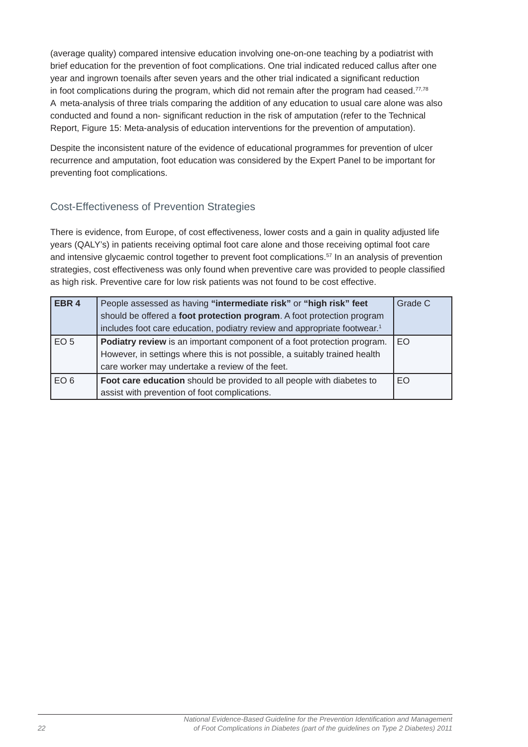<span id="page-21-0"></span>(average quality) compared intensive education involving one-on-one teaching by a podiatrist with brief education for the prevention of foot complications. One trial indicated reduced callus after one year and ingrown toenails after seven years and the other trial indicated a significant reduction in foot complications during the program, which did not remain after the program had ceased. $77,78$ A meta-analysis of three trials comparing the addition of any education to usual care alone was also conducted and found a non- significant reduction in the risk of amputation (refer to the Technical Report, Figure 15: Meta-analysis of education interventions for the prevention of amputation).

Despite the inconsistent nature of the evidence of educational programmes for prevention of ulcer recurrence and amputation, foot education was considered by the Expert Panel to be important for preventing foot complications.

# Cost-Effectiveness of Prevention Strategies

There is evidence, from Europe, of cost effectiveness, lower costs and a gain in quality adjusted life years (QALY's) in patients receiving optimal foot care alone and those receiving optimal foot care and intensive glycaemic control together to prevent foot complications.<sup>57</sup> In an analysis of prevention strategies, cost effectiveness was only found when preventive care was provided to people classified as high risk. Preventive care for low risk patients was not found to be cost effective.

| EBR <sub>4</sub> | People assessed as having "intermediate risk" or "high risk" feet<br>should be offered a foot protection program. A foot protection program | Grade C |
|------------------|---------------------------------------------------------------------------------------------------------------------------------------------|---------|
|                  | includes foot care education, podiatry review and appropriate footwear. <sup>1</sup>                                                        |         |
| EO <sub>5</sub>  | Podiatry review is an important component of a foot protection program.                                                                     | EO.     |
|                  | However, in settings where this is not possible, a suitably trained health                                                                  |         |
|                  | care worker may undertake a review of the feet.                                                                                             |         |
| EO <sub>6</sub>  | Foot care education should be provided to all people with diabetes to                                                                       | EO.     |
|                  | assist with prevention of foot complications.                                                                                               |         |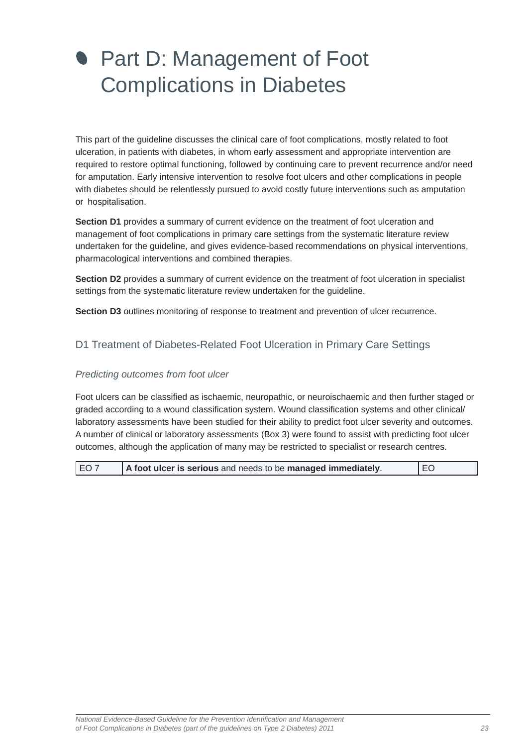# <span id="page-22-0"></span>**• Part D: Management of Foot** Complications in Diabetes

This part of the guideline discusses the clinical care of foot complications, mostly related to foot ulceration, in patients with diabetes, in whom early assessment and appropriate intervention are required to restore optimal functioning, followed by continuing care to prevent recurrence and/or need for amputation. Early intensive intervention to resolve foot ulcers and other complications in people with diabetes should be relentlessly pursued to avoid costly future interventions such as amputation or hospitalisation.

**Section D1** provides a summary of current evidence on the treatment of foot ulceration and management of foot complications in primary care settings from the systematic literature review undertaken for the guideline, and gives evidence-based recommendations on physical interventions, pharmacological interventions and combined therapies.

**Section D2** provides a summary of current evidence on the treatment of foot ulceration in specialist settings from the systematic literature review undertaken for the guideline.

**Section D3** outlines monitoring of response to treatment and prevention of ulcer recurrence.

# D1 Treatment of Diabetes-Related Foot Ulceration in Primary Care Settings

#### *Predicting outcomes from foot ulcer*

Foot ulcers can be classified as ischaemic, neuropathic, or neuroischaemic and then further staged or graded according to a wound classification system. Wound classification systems and other clinical/ laboratory assessments have been studied for their ability to predict foot ulcer severity and outcomes. A number of clinical or laboratory assessments (Box 3) were found to assist with predicting foot ulcer outcomes, although the application of many may be restricted to specialist or research centres.

| l EO 7 | A foot ulcer is serious and needs to be managed immediately. | I EO |
|--------|--------------------------------------------------------------|------|
|--------|--------------------------------------------------------------|------|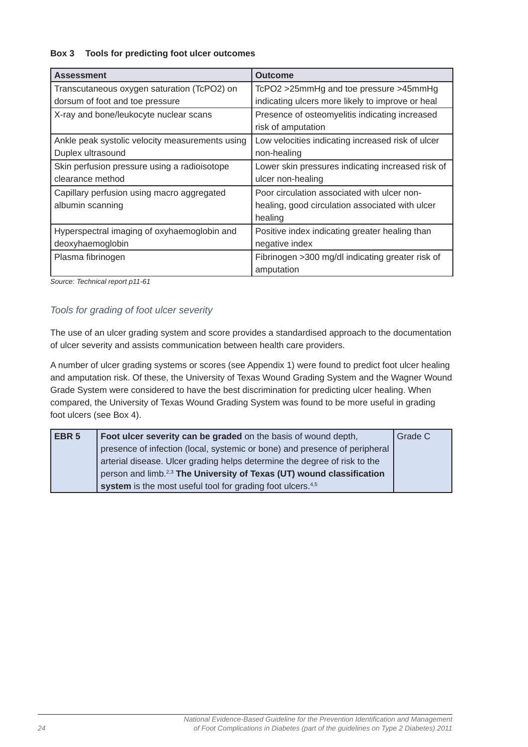#### **Box 3 Tools for predicting foot ulcer outcomes**

| <b>Assessment</b>                               | <b>Outcome</b>                                    |
|-------------------------------------------------|---------------------------------------------------|
| Transcutaneous oxygen saturation (TcPO2) on     | TcPO2 >25mmHg and toe pressure >45mmHg            |
| dorsum of foot and toe pressure                 | indicating ulcers more likely to improve or heal  |
| X-ray and bone/leukocyte nuclear scans          | Presence of osteomyelitis indicating increased    |
|                                                 | risk of amputation                                |
| Ankle peak systolic velocity measurements using | Low velocities indicating increased risk of ulcer |
| Duplex ultrasound                               | non-healing                                       |
| Skin perfusion pressure using a radioisotope    | Lower skin pressures indicating increased risk of |
| clearance method                                | ulcer non-healing                                 |
| Capillary perfusion using macro aggregated      | Poor circulation associated with ulcer non-       |
| albumin scanning                                | healing, good circulation associated with ulcer   |
|                                                 | healing                                           |
| Hyperspectral imaging of oxyhaemoglobin and     | Positive index indicating greater healing than    |
| deoxyhaemoglobin                                | negative index                                    |
| Plasma fibrinogen                               | Fibrinogen > 300 mg/dl indicating greater risk of |
|                                                 | amputation                                        |

*Source: Technical report p11-61*

#### *Tools for grading of foot ulcer severity*

The use of an ulcer grading system and score provides a standardised approach to the documentation of ulcer severity and assists communication between health care providers.

A number of ulcer grading systems or scores (see Appendix 1) were found to predict foot ulcer healing and amputation risk. Of these, the University of Texas Wound Grading System and the Wagner Wound Grade System were considered to have the best discrimination for predicting ulcer healing. When compared, the University of Texas Wound Grading System was found to be more useful in grading foot ulcers (see Box 4).

| EBR <sub>5</sub> | Foot ulcer severity can be graded on the basis of wound depth,                    | Grade C |
|------------------|-----------------------------------------------------------------------------------|---------|
|                  | presence of infection (local, systemic or bone) and presence of peripheral        |         |
|                  | arterial disease. Ulcer grading helps determine the degree of risk to the         |         |
|                  | person and limb. <sup>2,3</sup> The University of Texas (UT) wound classification |         |
|                  | system is the most useful tool for grading foot ulcers. <sup>4,5</sup>            |         |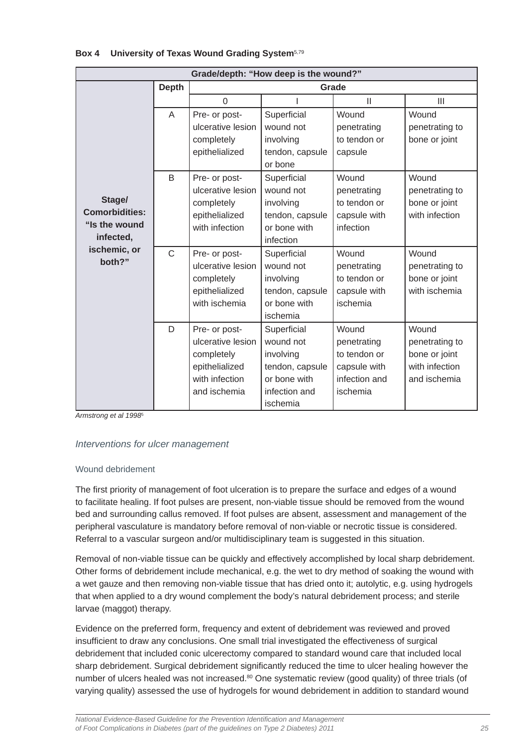| Grade/depth: "How deep is the wound?"                         |                |                                                                                                      |                                                                                                       |                                                                                   |                                                                            |
|---------------------------------------------------------------|----------------|------------------------------------------------------------------------------------------------------|-------------------------------------------------------------------------------------------------------|-----------------------------------------------------------------------------------|----------------------------------------------------------------------------|
|                                                               | <b>Depth</b>   |                                                                                                      |                                                                                                       | Grade                                                                             |                                                                            |
|                                                               |                | $\Omega$                                                                                             |                                                                                                       | $\mathbf{I}$                                                                      | III                                                                        |
|                                                               | A              | Pre- or post-<br>ulcerative lesion<br>completely<br>epithelialized                                   | Superficial<br>wound not<br>involving<br>tendon, capsule<br>or bone                                   | Wound<br>penetrating<br>to tendon or<br>capsule                                   | Wound<br>penetrating to<br>bone or joint                                   |
| Stage/<br><b>Comorbidities:</b><br>"Is the wound<br>infected, | B              | Pre- or post-<br>ulcerative lesion<br>completely<br>epithelialized<br>with infection                 | Superficial<br>wound not<br>involving<br>tendon, capsule<br>or bone with<br>infection                 | Wound<br>penetrating<br>to tendon or<br>capsule with<br>infection                 | Wound<br>penetrating to<br>bone or joint<br>with infection                 |
| ischemic, or<br>both?"                                        | $\overline{C}$ | Pre- or post-<br>ulcerative lesion<br>completely<br>epithelialized<br>with ischemia                  | Superficial<br>wound not<br>involving<br>tendon, capsule<br>or bone with<br>ischemia                  | Wound<br>penetrating<br>to tendon or<br>capsule with<br>ischemia                  | Wound<br>penetrating to<br>bone or joint<br>with ischemia                  |
|                                                               | D              | Pre- or post-<br>ulcerative lesion<br>completely<br>epithelialized<br>with infection<br>and ischemia | Superficial<br>wound not<br>involving<br>tendon, capsule<br>or bone with<br>infection and<br>ischemia | Wound<br>penetrating<br>to tendon or<br>capsule with<br>infection and<br>ischemia | Wound<br>penetrating to<br>bone or joint<br>with infection<br>and ischemia |

#### **Box 4 University of Texas Wound Grading System**5,79

*Armstrong et al 1998*<sup>5</sup>

### *Interventions for ulcer management*

#### Wound debridement

The first priority of management of foot ulceration is to prepare the surface and edges of a wound to facilitate healing. If foot pulses are present, non-viable tissue should be removed from the wound bed and surrounding callus removed. If foot pulses are absent, assessment and management of the peripheral vasculature is mandatory before removal of non-viable or necrotic tissue is considered. Referral to a vascular surgeon and/or multidisciplinary team is suggested in this situation.

Removal of non-viable tissue can be quickly and effectively accomplished by local sharp debridement. Other forms of debridement include mechanical, e.g. the wet to dry method of soaking the wound with a wet gauze and then removing non-viable tissue that has dried onto it; autolytic, e.g. using hydrogels that when applied to a dry wound complement the body's natural debridement process; and sterile larvae (maggot) therapy.

Evidence on the preferred form, frequency and extent of debridement was reviewed and proved insufficient to draw any conclusions. One small trial investigated the effectiveness of surgical debridement that included conic ulcerectomy compared to standard wound care that included local sharp debridement. Surgical debridement significantly reduced the time to ulcer healing however the number of ulcers healed was not increased.<sup>80</sup> One systematic review (good quality) of three trials (of varying quality) assessed the use of hydrogels for wound debridement in addition to standard wound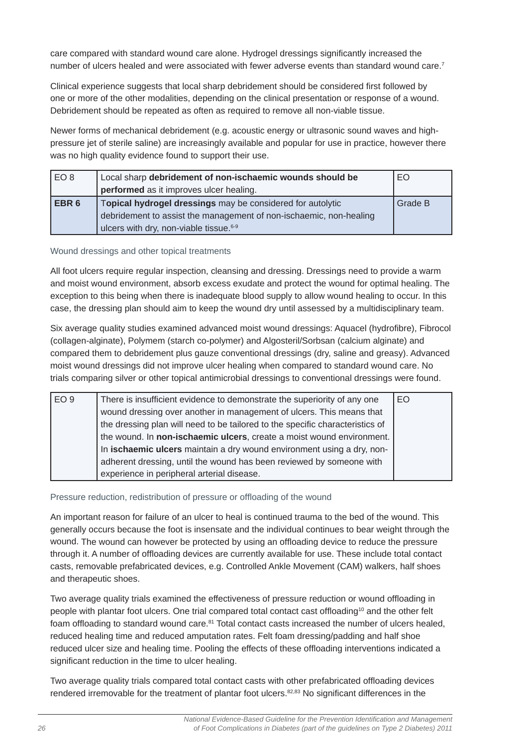care compared with standard wound care alone. Hydrogel dressings significantly increased the number of ulcers healed and were associated with fewer adverse events than standard wound care.<sup>7</sup>

Clinical experience suggests that local sharp debridement should be considered first followed by one or more of the other modalities, depending on the clinical presentation or response of a wound. Debridement should be repeated as often as required to remove all non-viable tissue.

Newer forms of mechanical debridement (e.g. acoustic energy or ultrasonic sound waves and highpressure jet of sterile saline) are increasingly available and popular for use in practice, however there was no high quality evidence found to support their use.

| EO <sub>8</sub>  | Local sharp debridement of non-ischaemic wounds should be          | EO      |
|------------------|--------------------------------------------------------------------|---------|
|                  | performed as it improves ulcer healing.                            |         |
| EBR <sub>6</sub> | Topical hydrogel dressings may be considered for autolytic         | Grade B |
|                  | debridement to assist the management of non-ischaemic, non-healing |         |
|                  | ulcers with dry, non-viable tissue. <sup>6-9</sup>                 |         |

#### Wound dressings and other topical treatments

All foot ulcers require regular inspection, cleansing and dressing. Dressings need to provide a warm and moist wound environment, absorb excess exudate and protect the wound for optimal healing. The exception to this being when there is inadequate blood supply to allow wound healing to occur. In this case, the dressing plan should aim to keep the wound dry until assessed by a multidisciplinary team.

Six average quality studies examined advanced moist wound dressings: Aquacel (hydrofibre), Fibrocol (collagen-alginate), Polymem (starch co-polymer) and Algosteril/Sorbsan (calcium alginate) and compared them to debridement plus gauze conventional dressings (dry, saline and greasy). Advanced moist wound dressings did not improve ulcer healing when compared to standard wound care. No trials comparing silver or other topical antimicrobial dressings to conventional dressings were found.

| EO <sub>9</sub> | There is insufficient evidence to demonstrate the superiority of any one      | EO |
|-----------------|-------------------------------------------------------------------------------|----|
|                 | wound dressing over another in management of ulcers. This means that          |    |
|                 | the dressing plan will need to be tailored to the specific characteristics of |    |
|                 | the wound. In non-ischaemic ulcers, create a moist wound environment.         |    |
|                 | In ischaemic ulcers maintain a dry wound environment using a dry, non-        |    |
|                 | adherent dressing, until the wound has been reviewed by someone with          |    |
|                 | experience in peripheral arterial disease.                                    |    |

#### Pressure reduction, redistribution of pressure or offloading of the wound

An important reason for failure of an ulcer to heal is continued trauma to the bed of the wound. This generally occurs because the foot is insensate and the individual continues to bear weight through the wound. The wound can however be protected by using an offloading device to reduce the pressure through it. A number of offloading devices are currently available for use. These include total contact casts, removable prefabricated devices, e.g. Controlled Ankle Movement (CAM) walkers, half shoes and therapeutic shoes.

Two average quality trials examined the effectiveness of pressure reduction or wound offloading in people with plantar foot ulcers. One trial compared total contact cast offloading<sup>10</sup> and the other felt foam offloading to standard wound care.<sup>81</sup> Total contact casts increased the number of ulcers healed, reduced healing time and reduced amputation rates. Felt foam dressing/padding and half shoe reduced ulcer size and healing time. Pooling the effects of these offloading interventions indicated a significant reduction in the time to ulcer healing.

Two average quality trials compared total contact casts with other prefabricated offloading devices rendered irremovable for the treatment of plantar foot ulcers.<sup>82,83</sup> No significant differences in the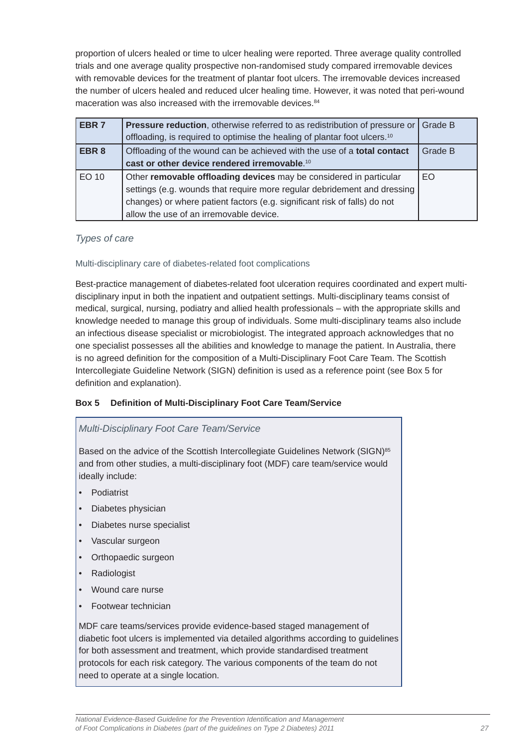proportion of ulcers healed or time to ulcer healing were reported. Three average quality controlled trials and one average quality prospective non-randomised study compared irremovable devices with removable devices for the treatment of plantar foot ulcers. The irremovable devices increased the number of ulcers healed and reduced ulcer healing time. However, it was noted that peri-wound maceration was also increased with the irremovable devices.<sup>84</sup>

| EBR <sub>7</sub> | Pressure reduction, otherwise referred to as redistribution of pressure or            | Grade B |
|------------------|---------------------------------------------------------------------------------------|---------|
|                  | offloading, is required to optimise the healing of plantar foot ulcers. <sup>10</sup> |         |
| EBR <sub>8</sub> | Offloading of the wound can be achieved with the use of a total contact               | Grade B |
|                  | cast or other device rendered irremovable. <sup>10</sup>                              |         |
| EO 10            | Other removable offloading devices may be considered in particular                    | EO.     |
|                  | settings (e.g. wounds that require more regular debridement and dressing              |         |
|                  | changes) or where patient factors (e.g. significant risk of falls) do not             |         |
|                  | allow the use of an irremovable device.                                               |         |

#### *Types of care*

#### Multi-disciplinary care of diabetes-related foot complications

Best-practice management of diabetes-related foot ulceration requires coordinated and expert multidisciplinary input in both the inpatient and outpatient settings. Multi-disciplinary teams consist of medical, surgical, nursing, podiatry and allied health professionals – with the appropriate skills and knowledge needed to manage this group of individuals. Some multi-disciplinary teams also include an infectious disease specialist or microbiologist. The integrated approach acknowledges that no one specialist possesses all the abilities and knowledge to manage the patient. In Australia, there is no agreed definition for the composition of a Multi-Disciplinary Foot Care Team. The Scottish Intercollegiate Guideline Network (SIGN) definition is used as a reference point (see Box 5 for definition and explanation).

#### **Box 5 Defi nition of Multi-Disciplinary Foot Care Team/Service**

#### *Multi-Disciplinary Foot Care Team/Service*

Based on the advice of the Scottish Intercollegiate Guidelines Network (SIGN)<sup>85</sup> and from other studies, a multi-disciplinary foot (MDF) care team/service would ideally include:

- Podiatrist
- Diabetes physician
- Diabetes nurse specialist
- Vascular surgeon
- Orthopaedic surgeon
- Radiologist
- Wound care nurse
- Footwear technician

MDF care teams/services provide evidence-based staged management of diabetic foot ulcers is implemented via detailed algorithms according to guidelines for both assessment and treatment, which provide standardised treatment protocols for each risk category. The various components of the team do not need to operate at a single location.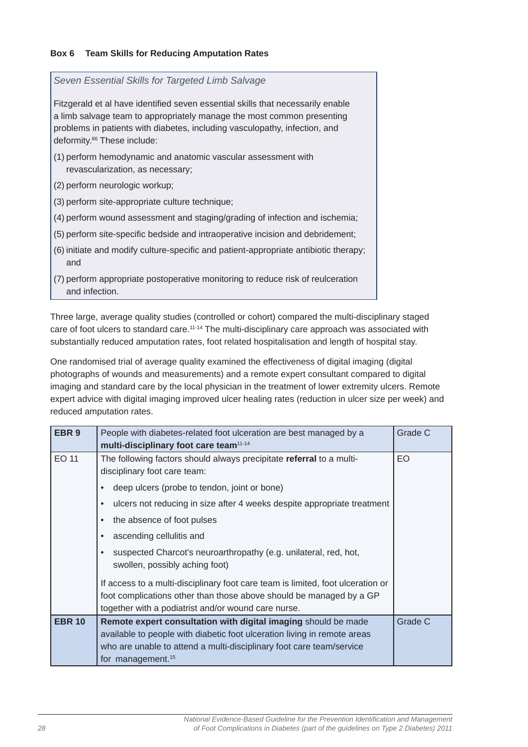#### **Box 6 Team Skills for Reducing Amputation Rates**

and infection.

*Seven Essential Skills for Targeted Limb Salvage* Fitzgerald et al have identified seven essential skills that necessarily enable a limb salvage team to appropriately manage the most common presenting problems in patients with diabetes, including vasculopathy, infection, and deformity.<sup>86</sup> These include: (1) perform hemodynamic and anatomic vascular assessment with revascularization, as necessary; (2) perform neurologic workup; (3) perform site-appropriate culture technique; (4) perform wound assessment and staging/grading of infection and ischemia; (5) perform site-specific bedside and intraoperative incision and debridement; (6) initiate and modify culture-specific and patient-appropriate antibiotic therapy; and (7) perform appropriate postoperative monitoring to reduce risk of reulceration

Three large, average quality studies (controlled or cohort) compared the multi-disciplinary staged care of foot ulcers to standard care.<sup>11-14</sup> The multi-disciplinary care approach was associated with substantially reduced amputation rates, foot related hospitalisation and length of hospital stay.

One randomised trial of average quality examined the effectiveness of digital imaging (digital photographs of wounds and measurements) and a remote expert consultant compared to digital imaging and standard care by the local physician in the treatment of lower extremity ulcers. Remote expert advice with digital imaging improved ulcer healing rates (reduction in ulcer size per week) and reduced amputation rates.

| EBR <sub>9</sub> | People with diabetes-related foot ulceration are best managed by a<br>multi-disciplinary foot care team <sup>11-14</sup>   | Grade C |
|------------------|----------------------------------------------------------------------------------------------------------------------------|---------|
| <b>EO 11</b>     | The following factors should always precipitate referral to a multi-<br>disciplinary foot care team:                       | EO      |
|                  | deep ulcers (probe to tendon, joint or bone)                                                                               |         |
|                  | ulcers not reducing in size after 4 weeks despite appropriate treatment                                                    |         |
|                  | the absence of foot pulses                                                                                                 |         |
|                  | ascending cellulitis and                                                                                                   |         |
|                  | suspected Charcot's neuroarthropathy (e.g. unilateral, red, hot,<br>swollen, possibly aching foot)                         |         |
|                  | If access to a multi-disciplinary foot care team is limited, foot ulceration or                                            |         |
|                  | foot complications other than those above should be managed by a GP<br>together with a podiatrist and/or wound care nurse. |         |
| <b>EBR 10</b>    | Remote expert consultation with digital imaging should be made                                                             | Grade C |
|                  | available to people with diabetic foot ulceration living in remote areas                                                   |         |
|                  | who are unable to attend a multi-disciplinary foot care team/service                                                       |         |
|                  | for management. <sup>15</sup>                                                                                              |         |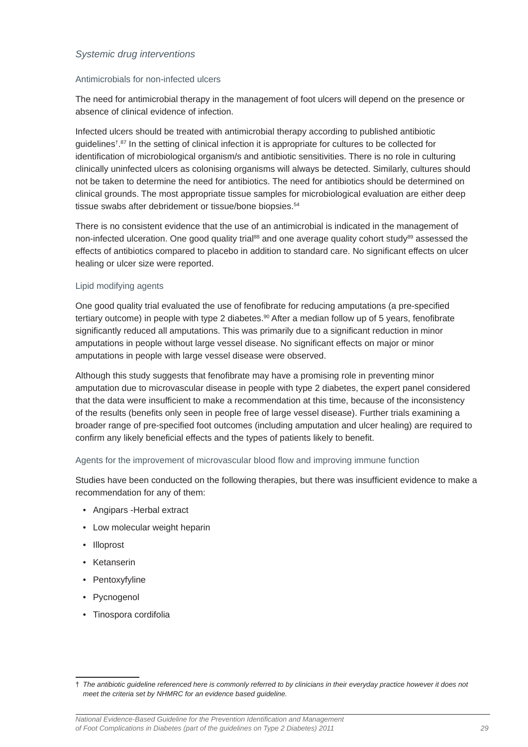#### *Systemic drug interventions*

#### Antimicrobials for non-infected ulcers

The need for antimicrobial therapy in the management of foot ulcers will depend on the presence or absence of clinical evidence of infection.

Infected ulcers should be treated with antimicrobial therapy according to published antibiotic guidelines<sup>† 87</sup> In the setting of clinical infection it is appropriate for cultures to be collected for identification of microbiological organism/s and antibiotic sensitivities. There is no role in culturing clinically uninfected ulcers as colonising organisms will always be detected. Similarly, cultures should not be taken to determine the need for antibiotics. The need for antibiotics should be determined on clinical grounds. The most appropriate tissue samples for microbiological evaluation are either deep tissue swabs after debridement or tissue/bone biopsies.<sup>54</sup>

There is no consistent evidence that the use of an antimicrobial is indicated in the management of non-infected ulceration. One good quality trial<sup>88</sup> and one average quality cohort study<sup>89</sup> assessed the effects of antibiotics compared to placebo in addition to standard care. No significant effects on ulcer healing or ulcer size were reported.

#### Lipid modifying agents

One good quality trial evaluated the use of fenofibrate for reducing amputations (a pre-specified tertiary outcome) in people with type 2 diabetes.<sup>90</sup> After a median follow up of 5 years, fenofibrate significantly reduced all amputations. This was primarily due to a significant reduction in minor amputations in people without large vessel disease. No significant effects on major or minor amputations in people with large vessel disease were observed.

Although this study suggests that fenofibrate may have a promising role in preventing minor amputation due to microvascular disease in people with type 2 diabetes, the expert panel considered that the data were insufficient to make a recommendation at this time, because of the inconsistency of the results (benefits only seen in people free of large vessel disease). Further trials examining a broader range of pre-specified foot outcomes (including amputation and ulcer healing) are required to confirm any likely beneficial effects and the types of patients likely to benefit.

#### Agents for the improvement of microvascular blood flow and improving immune function

Studies have been conducted on the following therapies, but there was insufficient evidence to make a recommendation for any of them:

- Angipars -Herbal extract
- Low molecular weight heparin
- Illoprost
- Ketanserin
- Pentoxyfyline
- Pycnogenol
- Tinospora cordifolia

*National Evidence-Based Guideline for the Prevention Identifi cation and Management of Foot Complications in Diabetes (part of the guidelines on Type 2 Diabetes) 2011 29*

<sup>†</sup> *The antibiotic guideline referenced here is commonly referred to by clinicians in their everyday practice however it does not meet the criteria set by NHMRC for an evidence based guideline.*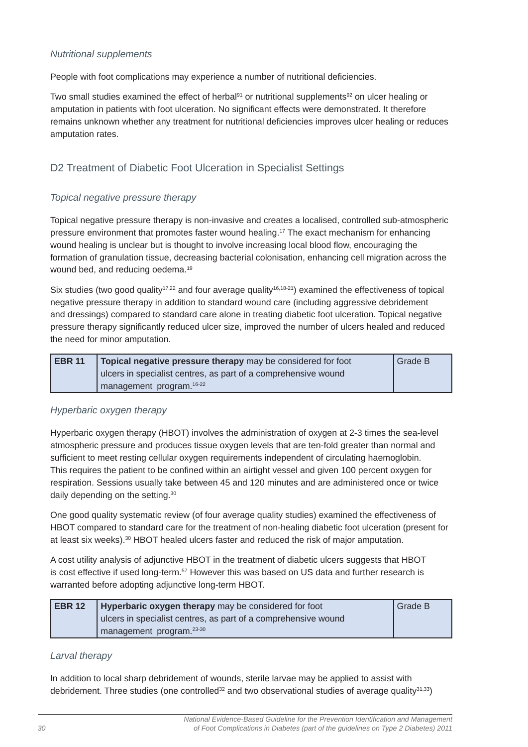#### <span id="page-29-0"></span>*Nutritional supplements*

People with foot complications may experience a number of nutritional deficiencies.

Two small studies examined the effect of herbal<sup>91</sup> or nutritional supplements<sup>92</sup> on ulcer healing or amputation in patients with foot ulceration. No significant effects were demonstrated. It therefore remains unknown whether any treatment for nutritional deficiencies improves ulcer healing or reduces amputation rates.

## D2 Treatment of Diabetic Foot Ulceration in Specialist Settings

#### *Topical negative pressure therapy*

Topical negative pressure therapy is non-invasive and creates a localised, controlled sub-atmospheric pressure environment that promotes faster wound healing.17 The exact mechanism for enhancing wound healing is unclear but is thought to involve increasing local blood flow, encouraging the formation of granulation tissue, decreasing bacterial colonisation, enhancing cell migration across the wound bed, and reducing oedema.<sup>19</sup>

Six studies (two good quality<sup>17,22</sup> and four average quality<sup>16,18-21</sup>) examined the effectiveness of topical negative pressure therapy in addition to standard wound care (including aggressive debridement and dressings) compared to standard care alone in treating diabetic foot ulceration. Topical negative pressure therapy significantly reduced ulcer size, improved the number of ulcers healed and reduced the need for minor amputation.

| EBR <sub>11</sub> | <b>Topical negative pressure therapy</b> may be considered for foot | <b>Grade B</b> |
|-------------------|---------------------------------------------------------------------|----------------|
|                   | ulcers in specialist centres, as part of a comprehensive wound      |                |
|                   | management program. <sup>16-22</sup>                                |                |

#### *Hyperbaric oxygen therapy*

Hyperbaric oxygen therapy (HBOT) involves the administration of oxygen at 2-3 times the sea-level atmospheric pressure and produces tissue oxygen levels that are ten-fold greater than normal and sufficient to meet resting cellular oxygen requirements independent of circulating haemoglobin. This requires the patient to be confined within an airtight vessel and given 100 percent oxygen for respiration. Sessions usually take between 45 and 120 minutes and are administered once or twice daily depending on the setting.<sup>30</sup>

One good quality systematic review (of four average quality studies) examined the effectiveness of HBOT compared to standard care for the treatment of non-healing diabetic foot ulceration (present for at least six weeks).<sup>30</sup> HBOT healed ulcers faster and reduced the risk of major amputation.

A cost utility analysis of adjunctive HBOT in the treatment of diabetic ulcers suggests that HBOT is cost effective if used long-term.57 However this was based on US data and further research is warranted before adopting adjunctive long-term HBOT.

| EBR 12 | <b>Hyperbaric oxygen therapy</b> may be considered for foot    | Grade B |
|--------|----------------------------------------------------------------|---------|
|        | ulcers in specialist centres, as part of a comprehensive wound |         |
|        | management program. <sup>23-30</sup>                           |         |

#### *Larval therapy*

In addition to local sharp debridement of wounds, sterile larvae may be applied to assist with debridement. Three studies (one controlled<sup>32</sup> and two observational studies of average quality<sup>31,33</sup>)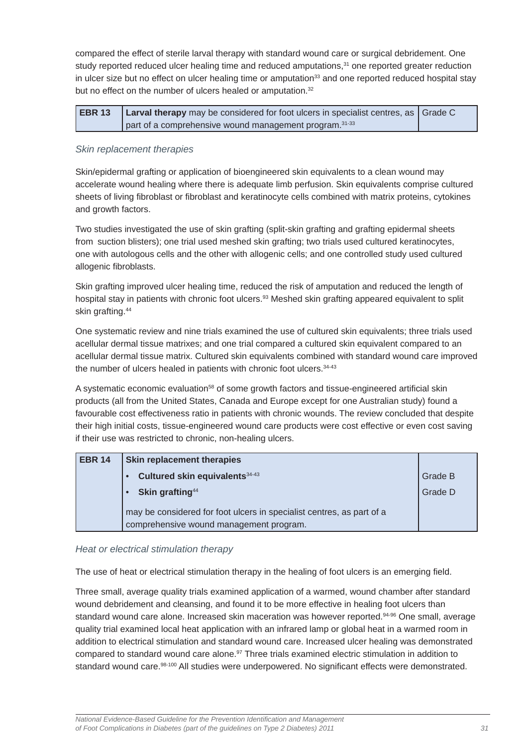compared the effect of sterile larval therapy with standard wound care or surgical debridement. One study reported reduced ulcer healing time and reduced amputations,<sup>31</sup> one reported greater reduction in ulcer size but no effect on ulcer healing time or amputation $33$  and one reported reduced hospital stay but no effect on the number of ulcers healed or amputation.<sup>32</sup>

| <b>EBR 13 Larval therapy</b> may be considered for foot ulcers in specialist centres, as $\vert$ Grade C |  |
|----------------------------------------------------------------------------------------------------------|--|
| part of a comprehensive wound management program. 31-33                                                  |  |

#### *Skin replacement therapies*

Skin/epidermal grafting or application of bioengineered skin equivalents to a clean wound may accelerate wound healing where there is adequate limb perfusion. Skin equivalents comprise cultured sheets of living fibroblast or fibroblast and keratinocyte cells combined with matrix proteins, cytokines and growth factors.

Two studies investigated the use of skin grafting (split-skin grafting and grafting epidermal sheets from suction blisters); one trial used meshed skin grafting; two trials used cultured keratinocytes, one with autologous cells and the other with allogenic cells; and one controlled study used cultured allogenic fibroblasts.

Skin grafting improved ulcer healing time, reduced the risk of amputation and reduced the length of hospital stay in patients with chronic foot ulcers.<sup>93</sup> Meshed skin grafting appeared equivalent to split skin grafting.<sup>44</sup>

One systematic review and nine trials examined the use of cultured skin equivalents; three trials used acellular dermal tissue matrixes; and one trial compared a cultured skin equivalent compared to an acellular dermal tissue matrix. Cultured skin equivalents combined with standard wound care improved the number of ulcers healed in patients with chronic foot ulcers.<sup>34-43</sup>

A systematic economic evaluation<sup>58</sup> of some growth factors and tissue-engineered artificial skin products (all from the United States, Canada and Europe except for one Australian study) found a favourable cost effectiveness ratio in patients with chronic wounds. The review concluded that despite their high initial costs, tissue-engineered wound care products were cost effective or even cost saving if their use was restricted to chronic, non-healing ulcers.

| <b>EBR 14</b> | <b>Skin replacement therapies</b>                                                                                |         |
|---------------|------------------------------------------------------------------------------------------------------------------|---------|
|               | Cultured skin equivalents 34-43                                                                                  | Grade B |
|               | Skin grafting <sup>44</sup>                                                                                      | Grade D |
|               | may be considered for foot ulcers in specialist centres, as part of a<br>comprehensive wound management program. |         |

#### *Heat or electrical stimulation therapy*

The use of heat or electrical stimulation therapy in the healing of foot ulcers is an emerging field.

Three small, average quality trials examined application of a warmed, wound chamber after standard wound debridement and cleansing, and found it to be more effective in healing foot ulcers than standard wound care alone. Increased skin maceration was however reported.<sup>94-96</sup> One small, average quality trial examined local heat application with an infrared lamp or global heat in a warmed room in addition to electrical stimulation and standard wound care. Increased ulcer healing was demonstrated compared to standard wound care alone.<sup>97</sup> Three trials examined electric stimulation in addition to standard wound care.<sup>98-100</sup> All studies were underpowered. No significant effects were demonstrated.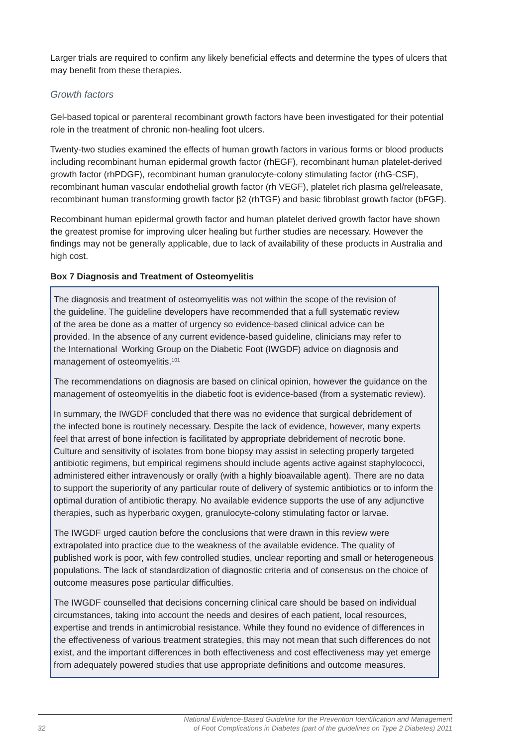Larger trials are required to confirm any likely beneficial effects and determine the types of ulcers that may benefit from these therapies.

#### *Growth factors*

Gel-based topical or parenteral recombinant growth factors have been investigated for their potential role in the treatment of chronic non-healing foot ulcers.

Twenty-two studies examined the effects of human growth factors in various forms or blood products including recombinant human epidermal growth factor (rhEGF), recombinant human platelet-derived growth factor (rhPDGF), recombinant human granulocyte-colony stimulating factor (rhG-CSF), recombinant human vascular endothelial growth factor (rh VEGF), platelet rich plasma gel/releasate, recombinant human transforming growth factor  $\beta$ 2 (rhTGF) and basic fibroblast growth factor (bFGF).

Recombinant human epidermal growth factor and human platelet derived growth factor have shown the greatest promise for improving ulcer healing but further studies are necessary. However the findings may not be generally applicable, due to lack of availability of these products in Australia and high cost.

#### **Box 7 Diagnosis and Treatment of Osteomyelitis**

The diagnosis and treatment of osteomyelitis was not within the scope of the revision of the guideline. The guideline developers have recommended that a full systematic review of the area be done as a matter of urgency so evidence-based clinical advice can be provided. In the absence of any current evidence-based guideline, clinicians may refer to the International Working Group on the Diabetic Foot (IWGDF) advice on diagnosis and management of osteomyelitis.<sup>101</sup>

The recommendations on diagnosis are based on clinical opinion, however the guidance on the management of osteomyelitis in the diabetic foot is evidence-based (from a systematic review).

In summary, the IWGDF concluded that there was no evidence that surgical debridement of the infected bone is routinely necessary. Despite the lack of evidence, however, many experts feel that arrest of bone infection is facilitated by appropriate debridement of necrotic bone. Culture and sensitivity of isolates from bone biopsy may assist in selecting properly targeted antibiotic regimens, but empirical regimens should include agents active against staphylococci, administered either intravenously or orally (with a highly bioavailable agent). There are no data to support the superiority of any particular route of delivery of systemic antibiotics or to inform the optimal duration of antibiotic therapy. No available evidence supports the use of any adjunctive therapies, such as hyperbaric oxygen, granulocyte-colony stimulating factor or larvae.

The IWGDF urged caution before the conclusions that were drawn in this review were extrapolated into practice due to the weakness of the available evidence. The quality of published work is poor, with few controlled studies, unclear reporting and small or heterogeneous populations. The lack of standardization of diagnostic criteria and of consensus on the choice of outcome measures pose particular difficulties.

The IWGDF counselled that decisions concerning clinical care should be based on individual circumstances, taking into account the needs and desires of each patient, local resources, expertise and trends in antimicrobial resistance. While they found no evidence of differences in the effectiveness of various treatment strategies, this may not mean that such differences do not exist, and the important differences in both effectiveness and cost effectiveness may yet emerge from adequately powered studies that use appropriate definitions and outcome measures.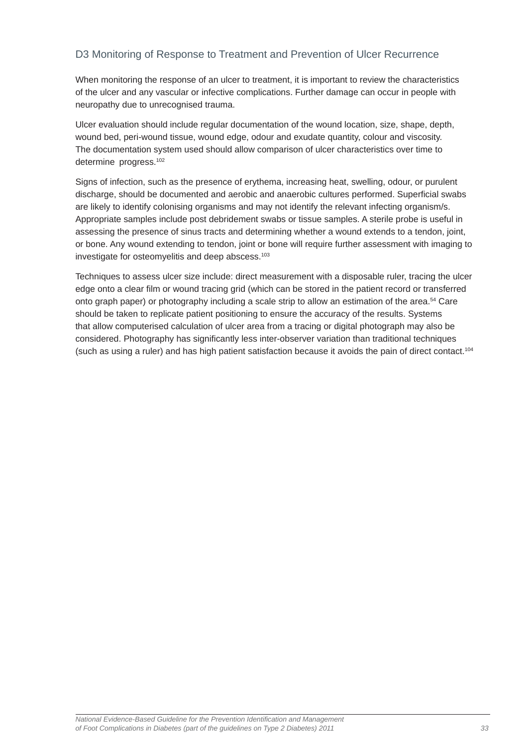## <span id="page-32-0"></span>D3 Monitoring of Response to Treatment and Prevention of Ulcer Recurrence

When monitoring the response of an ulcer to treatment, it is important to review the characteristics of the ulcer and any vascular or infective complications. Further damage can occur in people with neuropathy due to unrecognised trauma.

Ulcer evaluation should include regular documentation of the wound location, size, shape, depth, wound bed, peri-wound tissue, wound edge, odour and exudate quantity, colour and viscosity. The documentation system used should allow comparison of ulcer characteristics over time to determine progress.<sup>102</sup>

Signs of infection, such as the presence of erythema, increasing heat, swelling, odour, or purulent discharge, should be documented and aerobic and anaerobic cultures performed. Superficial swabs are likely to identify colonising organisms and may not identify the relevant infecting organism/s. Appropriate samples include post debridement swabs or tissue samples. A sterile probe is useful in assessing the presence of sinus tracts and determining whether a wound extends to a tendon, joint, or bone. Any wound extending to tendon, joint or bone will require further assessment with imaging to investigate for osteomyelitis and deep abscess.<sup>103</sup>

Techniques to assess ulcer size include: direct measurement with a disposable ruler, tracing the ulcer edge onto a clear film or wound tracing grid (which can be stored in the patient record or transferred onto graph paper) or photography including a scale strip to allow an estimation of the area.54 Care should be taken to replicate patient positioning to ensure the accuracy of the results. Systems that allow computerised calculation of ulcer area from a tracing or digital photograph may also be considered. Photography has significantly less inter-observer variation than traditional techniques (such as using a ruler) and has high patient satisfaction because it avoids the pain of direct contact.<sup>104</sup>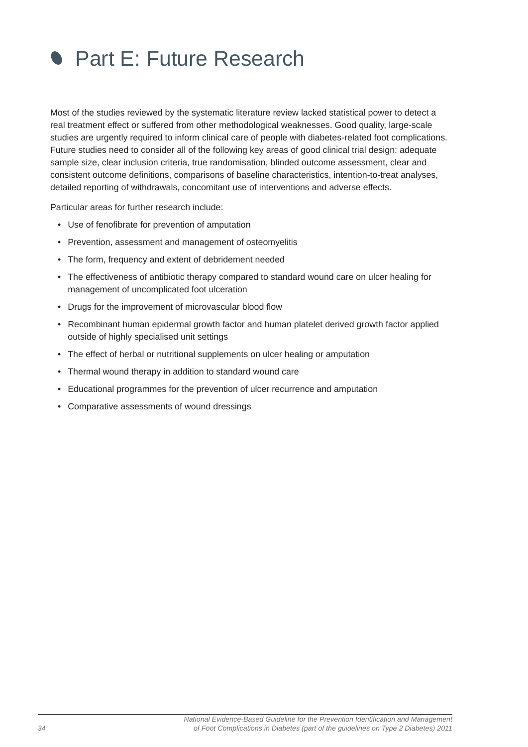<span id="page-33-0"></span>

Most of the studies reviewed by the systematic literature review lacked statistical power to detect a real treatment effect or suffered from other methodological weaknesses. Good quality, large-scale studies are urgently required to inform clinical care of people with diabetes-related foot complications. Future studies need to consider all of the following key areas of good clinical trial design: adequate sample size, clear inclusion criteria, true randomisation, blinded outcome assessment, clear and consistent outcome definitions, comparisons of baseline characteristics, intention-to-treat analyses, detailed reporting of withdrawals, concomitant use of interventions and adverse effects.

Particular areas for further research include:

- Use of fenofibrate for prevention of amputation
- Prevention, assessment and management of osteomyelitis
- The form, frequency and extent of debridement needed
- The effectiveness of antibiotic therapy compared to standard wound care on ulcer healing for management of uncomplicated foot ulceration
- Drugs for the improvement of microvascular blood flow
- Recombinant human epidermal growth factor and human platelet derived growth factor applied outside of highly specialised unit settings
- The effect of herbal or nutritional supplements on ulcer healing or amputation
- Thermal wound therapy in addition to standard wound care
- Educational programmes for the prevention of ulcer recurrence and amputation
- Comparative assessments of wound dressings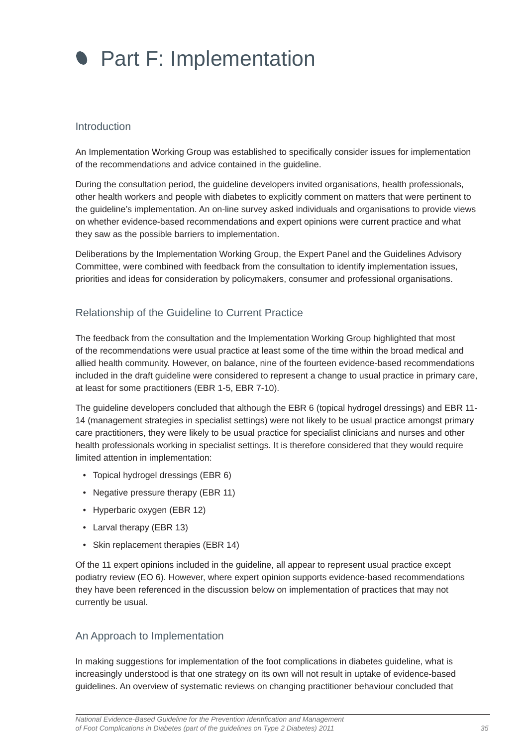<span id="page-34-0"></span>

#### Introduction

An Implementation Working Group was established to specifically consider issues for implementation of the recommendations and advice contained in the guideline.

During the consultation period, the guideline developers invited organisations, health professionals, other health workers and people with diabetes to explicitly comment on matters that were pertinent to the guideline's implementation. An on-line survey asked individuals and organisations to provide views on whether evidence-based recommendations and expert opinions were current practice and what they saw as the possible barriers to implementation.

Deliberations by the Implementation Working Group, the Expert Panel and the Guidelines Advisory Committee, were combined with feedback from the consultation to identify implementation issues, priorities and ideas for consideration by policymakers, consumer and professional organisations.

#### Relationship of the Guideline to Current Practice

The feedback from the consultation and the Implementation Working Group highlighted that most of the recommendations were usual practice at least some of the time within the broad medical and allied health community. However, on balance, nine of the fourteen evidence-based recommendations included in the draft guideline were considered to represent a change to usual practice in primary care, at least for some practitioners (EBR 1-5, EBR 7-10).

The guideline developers concluded that although the EBR 6 (topical hydrogel dressings) and EBR 11- 14 (management strategies in specialist settings) were not likely to be usual practice amongst primary care practitioners, they were likely to be usual practice for specialist clinicians and nurses and other health professionals working in specialist settings. It is therefore considered that they would require limited attention in implementation:

- Topical hydrogel dressings (EBR 6)
- Negative pressure therapy (EBR 11)
- Hyperbaric oxygen (EBR 12)
- Larval therapy (EBR 13)
- Skin replacement therapies (EBR 14)

Of the 11 expert opinions included in the guideline, all appear to represent usual practice except podiatry review (EO 6). However, where expert opinion supports evidence-based recommendations they have been referenced in the discussion below on implementation of practices that may not currently be usual.

#### An Approach to Implementation

In making suggestions for implementation of the foot complications in diabetes guideline, what is increasingly understood is that one strategy on its own will not result in uptake of evidence-based guidelines. An overview of systematic reviews on changing practitioner behaviour concluded that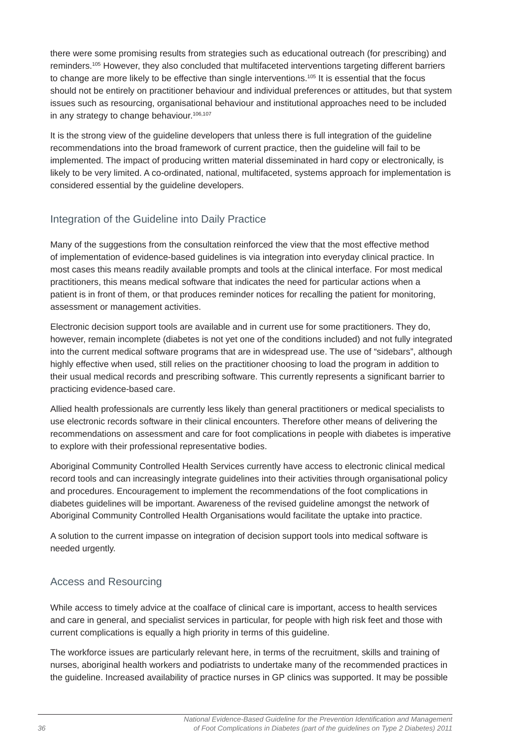<span id="page-35-0"></span>there were some promising results from strategies such as educational outreach (for prescribing) and reminders.105 However, they also concluded that multifaceted interventions targeting different barriers to change are more likely to be effective than single interventions.105 It is essential that the focus should not be entirely on practitioner behaviour and individual preferences or attitudes, but that system issues such as resourcing, organisational behaviour and institutional approaches need to be included in any strategy to change behaviour.<sup>106,107</sup>

It is the strong view of the guideline developers that unless there is full integration of the guideline recommendations into the broad framework of current practice, then the guideline will fail to be implemented. The impact of producing written material disseminated in hard copy or electronically, is likely to be very limited. A co-ordinated, national, multifaceted, systems approach for implementation is considered essential by the guideline developers.

# Integration of the Guideline into Daily Practice

Many of the suggestions from the consultation reinforced the view that the most effective method of implementation of evidence-based guidelines is via integration into everyday clinical practice. In most cases this means readily available prompts and tools at the clinical interface. For most medical practitioners, this means medical software that indicates the need for particular actions when a patient is in front of them, or that produces reminder notices for recalling the patient for monitoring, assessment or management activities.

Electronic decision support tools are available and in current use for some practitioners. They do, however, remain incomplete (diabetes is not yet one of the conditions included) and not fully integrated into the current medical software programs that are in widespread use. The use of "sidebars", although highly effective when used, still relies on the practitioner choosing to load the program in addition to their usual medical records and prescribing software. This currently represents a significant barrier to practicing evidence-based care.

Allied health professionals are currently less likely than general practitioners or medical specialists to use electronic records software in their clinical encounters. Therefore other means of delivering the recommendations on assessment and care for foot complications in people with diabetes is imperative to explore with their professional representative bodies.

Aboriginal Community Controlled Health Services currently have access to electronic clinical medical record tools and can increasingly integrate guidelines into their activities through organisational policy and procedures. Encouragement to implement the recommendations of the foot complications in diabetes guidelines will be important. Awareness of the revised guideline amongst the network of Aboriginal Community Controlled Health Organisations would facilitate the uptake into practice.

A solution to the current impasse on integration of decision support tools into medical software is needed urgently.

# Access and Resourcing

While access to timely advice at the coalface of clinical care is important, access to health services and care in general, and specialist services in particular, for people with high risk feet and those with current complications is equally a high priority in terms of this quideline.

The workforce issues are particularly relevant here, in terms of the recruitment, skills and training of nurses, aboriginal health workers and podiatrists to undertake many of the recommended practices in the guideline. Increased availability of practice nurses in GP clinics was supported. It may be possible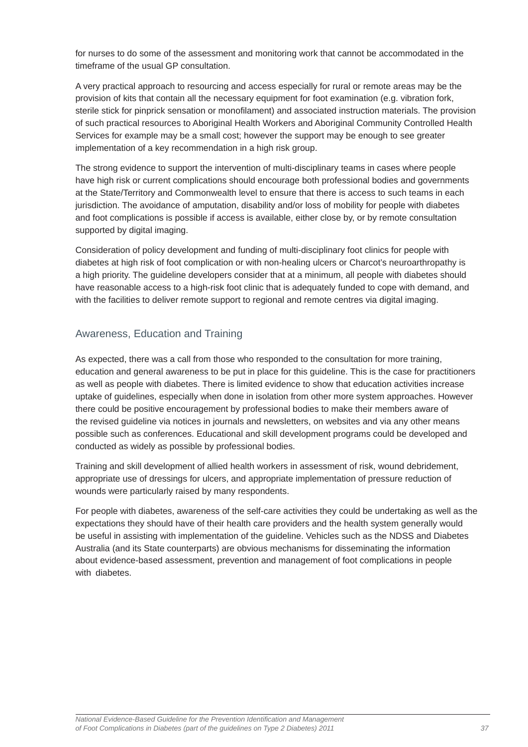<span id="page-36-0"></span>for nurses to do some of the assessment and monitoring work that cannot be accommodated in the timeframe of the usual GP consultation.

A very practical approach to resourcing and access especially for rural or remote areas may be the provision of kits that contain all the necessary equipment for foot examination (e.g. vibration fork, sterile stick for pinprick sensation or monofilament) and associated instruction materials. The provision of such practical resources to Aboriginal Health Workers and Aboriginal Community Controlled Health Services for example may be a small cost; however the support may be enough to see greater implementation of a key recommendation in a high risk group.

The strong evidence to support the intervention of multi-disciplinary teams in cases where people have high risk or current complications should encourage both professional bodies and governments at the State/Territory and Commonwealth level to ensure that there is access to such teams in each jurisdiction. The avoidance of amputation, disability and/or loss of mobility for people with diabetes and foot complications is possible if access is available, either close by, or by remote consultation supported by digital imaging.

Consideration of policy development and funding of multi-disciplinary foot clinics for people with diabetes at high risk of foot complication or with non-healing ulcers or Charcot's neuroarthropathy is a high priority. The guideline developers consider that at a minimum, all people with diabetes should have reasonable access to a high-risk foot clinic that is adequately funded to cope with demand, and with the facilities to deliver remote support to regional and remote centres via digital imaging.

### Awareness, Education and Training

As expected, there was a call from those who responded to the consultation for more training, education and general awareness to be put in place for this guideline. This is the case for practitioners as well as people with diabetes. There is limited evidence to show that education activities increase uptake of guidelines, especially when done in isolation from other more system approaches. However there could be positive encouragement by professional bodies to make their members aware of the revised guideline via notices in journals and newsletters, on websites and via any other means possible such as conferences. Educational and skill development programs could be developed and conducted as widely as possible by professional bodies.

Training and skill development of allied health workers in assessment of risk, wound debridement, appropriate use of dressings for ulcers, and appropriate implementation of pressure reduction of wounds were particularly raised by many respondents.

For people with diabetes, awareness of the self-care activities they could be undertaking as well as the expectations they should have of their health care providers and the health system generally would be useful in assisting with implementation of the guideline. Vehicles such as the NDSS and Diabetes Australia (and its State counterparts) are obvious mechanisms for disseminating the information about evidence-based assessment, prevention and management of foot complications in people with diabetes.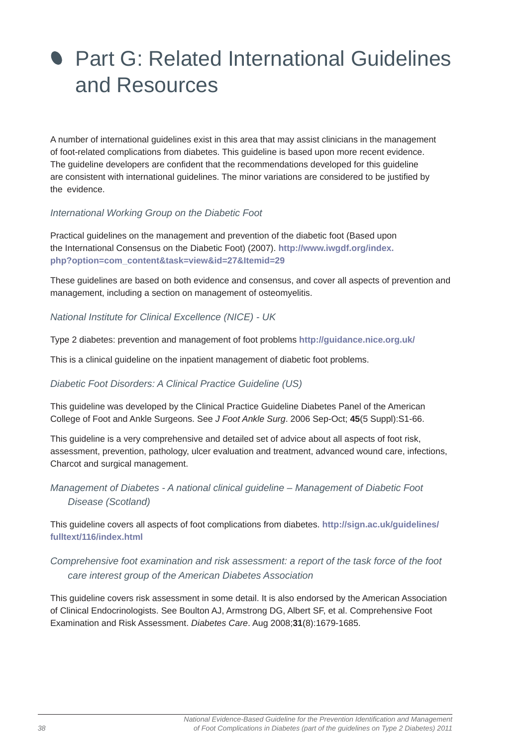# <span id="page-37-0"></span>**• Part G: Related International Guidelines** and Resources

A number of international guidelines exist in this area that may assist clinicians in the management of foot-related complications from diabetes. This guideline is based upon more recent evidence. The guideline developers are confident that the recommendations developed for this guideline are consistent with international guidelines. The minor variations are considered to be justified by the evidence.

### *International Working Group on the Diabetic Foot*

Practical guidelines on the management and prevention of the diabetic foot (Based upon the International Consensus on the Diabetic Foot) (2007). **http://www.iwgdf.org/index. php?option=com\_content&task=view&id=27&Itemid=29**

These guidelines are based on both evidence and consensus, and cover all aspects of prevention and management, including a section on management of osteomyelitis.

#### *National Institute for Clinical Excellence (NICE) - UK*

Type 2 diabetes: prevention and management of foot problems **http://guidance.nice.org.uk/**

This is a clinical guideline on the inpatient management of diabetic foot problems.

#### *Diabetic Foot Disorders: A Clinical Practice Guideline (US)*

This guideline was developed by the Clinical Practice Guideline Diabetes Panel of the American College of Foot and Ankle Surgeons. See *J Foot Ankle Surg*. 2006 Sep-Oct; **45**(5 Suppl):S1-66.

This guideline is a very comprehensive and detailed set of advice about all aspects of foot risk, assessment, prevention, pathology, ulcer evaluation and treatment, advanced wound care, infections, Charcot and surgical management.

## *Management of Diabetes - A national clinical guideline – Management of Diabetic Foot Disease (Scotland)*

This guideline covers all aspects of foot complications from diabetes. **http://sign.ac.uk/guidelines/ fulltext/116/index.html**

## *Comprehensive foot examination and risk assessment: a report of the task force of the foot care interest group of the American Diabetes Association*

This guideline covers risk assessment in some detail. It is also endorsed by the American Association of Clinical Endocrinologists. See Boulton AJ, Armstrong DG, Albert SF, et al. Comprehensive Foot Examination and Risk Assessment. *Diabetes Care*. Aug 2008;**31**(8):1679-1685.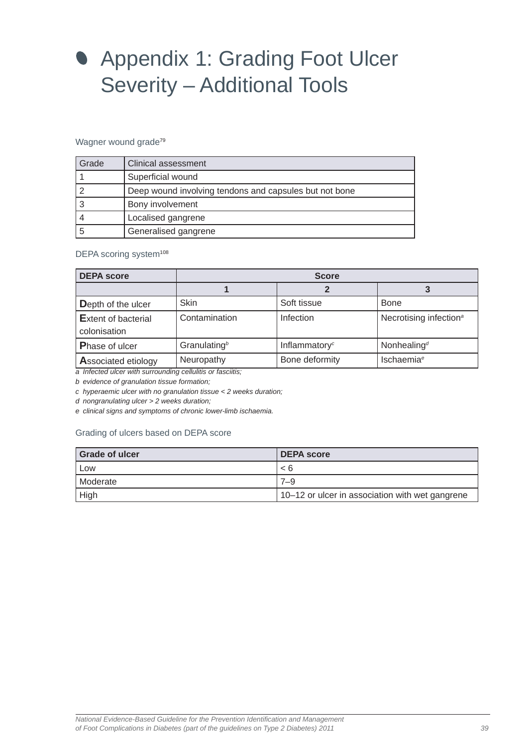# <span id="page-38-0"></span>**• Appendix 1: Grading Foot Ulcer** Severity – Additional Tools

#### Wagner wound grade<sup>79</sup>

| Grade | Clinical assessment                                    |
|-------|--------------------------------------------------------|
|       | Superficial wound                                      |
|       | Deep wound involving tendons and capsules but not bone |
|       | Bony involvement                                       |
|       | Localised gangrene                                     |
|       | Generalised gangrene                                   |

#### DEPA scoring system<sup>108</sup>

| <b>DEPA score</b>                          | <b>Score</b>           |                           |                                    |  |
|--------------------------------------------|------------------------|---------------------------|------------------------------------|--|
|                                            |                        |                           |                                    |  |
| Depth of the ulcer                         | <b>Skin</b>            | Soft tissue               | <b>Bone</b>                        |  |
| <b>Extent of bacterial</b><br>colonisation | Contamination          | Infection                 | Necrotising infection <sup>a</sup> |  |
| <b>Phase of ulcer</b>                      | Granulating $b$        | Inflammatory <sup>c</sup> | Nonhealing <sup>d</sup>            |  |
| <b>Associated etiology</b><br>.            | Neuropathy<br>$\cdots$ | Bone deformity            | <b>Ischaemia<sup>e</sup></b>       |  |

*a Infected ulcer with surrounding cellulitis or fasciitis;* 

*b evidence of granulation tissue formation;* 

*c hyperaemic ulcer with no granulation tissue < 2 weeks duration;* 

*d nongranulating ulcer > 2 weeks duration;* 

*e clinical signs and symptoms of chronic lower-limb ischaemia.* 

#### Grading of ulcers based on DEPA score

| <b>Grade of ulcer</b> | <b>DEPA score</b>                               |
|-----------------------|-------------------------------------------------|
| Low                   | < 6                                             |
| I Moderate            | 7–9                                             |
| High                  | 10–12 or ulcer in association with wet gangrene |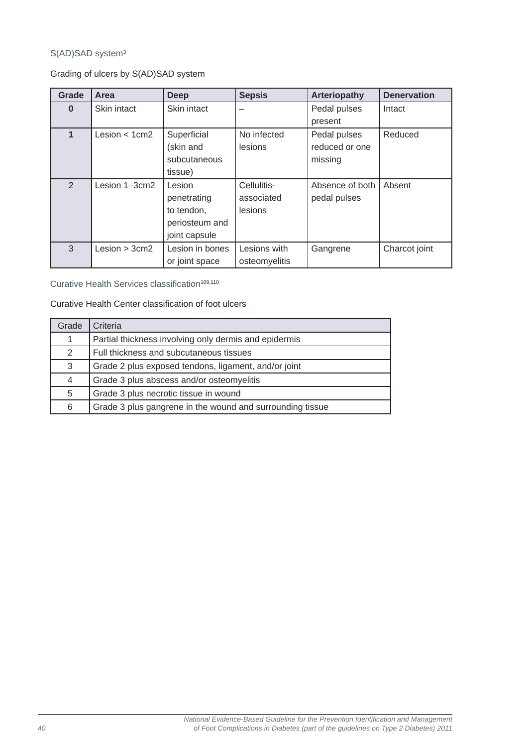### S(AD)SAD system<sup>3</sup>

Grading of ulcers by S(AD)SAD system

| Grade         | Area             | <b>Deep</b>     | <b>Sepsis</b> | <b>Arteriopathy</b> | <b>Denervation</b> |
|---------------|------------------|-----------------|---------------|---------------------|--------------------|
| $\bf{0}$      | Skin intact      | Skin intact     |               | Pedal pulses        | Intact             |
|               |                  |                 |               | present             |                    |
|               | Lesion $<$ 1 cm2 | Superficial     | No infected   | Pedal pulses        | Reduced            |
|               |                  | (skin and       | lesions       | reduced or one      |                    |
|               |                  | subcutaneous    |               | missing             |                    |
|               |                  | tissue)         |               |                     |                    |
| $\mathcal{P}$ | Lesion 1-3cm2    | Lesion          | Cellulitis-   | Absence of both     | Absent             |
|               |                  | penetrating     | associated    | pedal pulses        |                    |
|               |                  | to tendon,      | lesions       |                     |                    |
|               |                  | periosteum and  |               |                     |                    |
|               |                  | joint capsule   |               |                     |                    |
| 3             | Lesion > 3cm2    | Lesion in bones | Lesions with  | Gangrene            | Charcot joint      |
|               |                  | or joint space  | osteomyelitis |                     |                    |

Curative Health Services classification<sup>109,110</sup>

Curative Health Center classification of foot ulcers

| Grade        | Criteria                                                  |
|--------------|-----------------------------------------------------------|
| $\mathbf{1}$ | Partial thickness involving only dermis and epidermis     |
| 2            | Full thickness and subcutaneous tissues                   |
| 3            | Grade 2 plus exposed tendons, ligament, and/or joint      |
| 4            | Grade 3 plus abscess and/or osteomyelitis                 |
| 5            | Grade 3 plus necrotic tissue in wound                     |
| 6            | Grade 3 plus gangrene in the wound and surrounding tissue |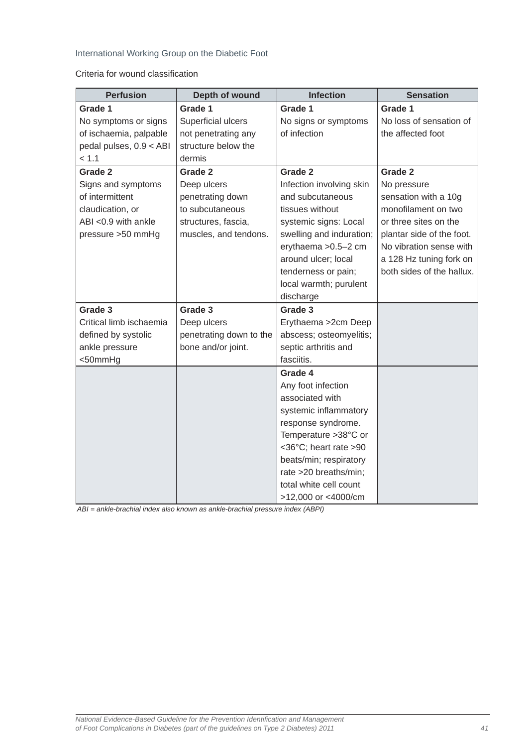### International Working Group on the Diabetic Foot

Criteria for wound classification

| <b>Perfusion</b>        | Depth of wound          | <b>Infection</b>         | <b>Sensation</b>          |
|-------------------------|-------------------------|--------------------------|---------------------------|
| Grade 1                 | Grade 1                 | Grade 1                  | Grade 1                   |
| No symptoms or signs    | Superficial ulcers      | No signs or symptoms     | No loss of sensation of   |
| of ischaemia, palpable  | not penetrating any     | of infection             | the affected foot         |
| pedal pulses, 0.9 < ABI | structure below the     |                          |                           |
| < 1.1                   | dermis                  |                          |                           |
| Grade 2                 | Grade 2                 | Grade 2                  | Grade 2                   |
| Signs and symptoms      | Deep ulcers             | Infection involving skin | No pressure               |
| of intermittent         | penetrating down        | and subcutaneous         | sensation with a 10g      |
| claudication, or        | to subcutaneous         | tissues without          | monofilament on two       |
| ABI <0.9 with ankle     | structures, fascia,     | systemic signs: Local    | or three sites on the     |
| pressure >50 mmHg       | muscles, and tendons.   | swelling and induration; | plantar side of the foot. |
|                         |                         | erythaema > 0.5-2 cm     | No vibration sense with   |
|                         |                         | around ulcer; local      | a 128 Hz tuning fork on   |
|                         |                         | tenderness or pain;      | both sides of the hallux. |
|                         |                         | local warmth; purulent   |                           |
|                         |                         | discharge                |                           |
| Grade 3                 | Grade 3                 | Grade 3                  |                           |
| Critical limb ischaemia | Deep ulcers             | Erythaema > 2cm Deep     |                           |
| defined by systolic     | penetrating down to the | abscess; osteomyelitis;  |                           |
| ankle pressure          | bone and/or joint.      | septic arthritis and     |                           |
| <50mmHg                 |                         | fasciitis.               |                           |
|                         |                         | Grade 4                  |                           |
|                         |                         | Any foot infection       |                           |
|                         |                         | associated with          |                           |
|                         |                         | systemic inflammatory    |                           |
|                         |                         | response syndrome.       |                           |
|                         |                         | Temperature >38°C or     |                           |
|                         |                         | <36°C; heart rate >90    |                           |
|                         |                         | beats/min; respiratory   |                           |
|                         |                         | rate >20 breaths/min;    |                           |
|                         |                         | total white cell count   |                           |
|                         |                         | >12,000 or <4000/cm      |                           |

 *ABI = ankle-brachial index also known as ankle-brachial pressure index (ABPI)*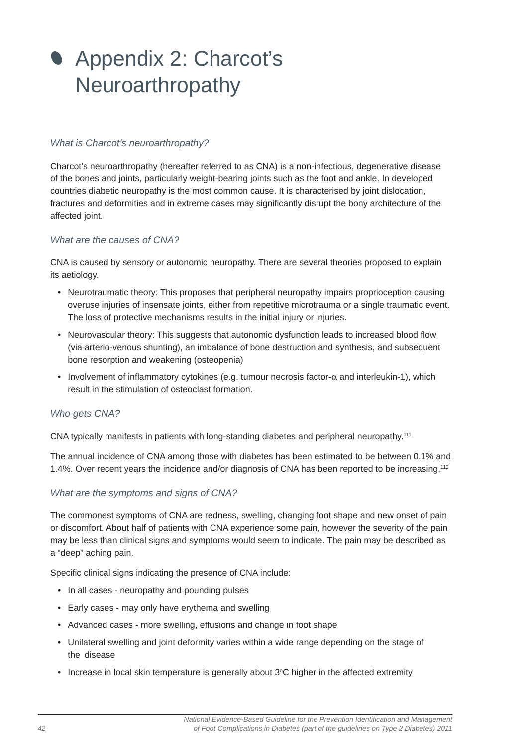# <span id="page-41-0"></span>**Appendix 2: Charcot's** Neuroarthropathy

#### *What is Charcot's neuroarthropathy?*

Charcot's neuroarthropathy (hereafter referred to as CNA) is a non-infectious, degenerative disease of the bones and joints, particularly weight-bearing joints such as the foot and ankle. In developed countries diabetic neuropathy is the most common cause. It is characterised by joint dislocation, fractures and deformities and in extreme cases may significantly disrupt the bony architecture of the affected joint.

#### *What are the causes of CNA?*

CNA is caused by sensory or autonomic neuropathy. There are several theories proposed to explain its aetiology.

- Neurotraumatic theory: This proposes that peripheral neuropathy impairs proprioception causing overuse injuries of insensate joints, either from repetitive microtrauma or a single traumatic event. The loss of protective mechanisms results in the initial injury or injuries.
- Neurovascular theory: This suggests that autonomic dysfunction leads to increased blood flow (via arterio-venous shunting), an imbalance of bone destruction and synthesis, and subsequent bone resorption and weakening (osteopenia)
- Involvement of inflammatory cytokines (e.g. tumour necrosis factor- $\alpha$  and interleukin-1), which result in the stimulation of osteoclast formation.

#### *Who gets CNA?*

CNA typically manifests in patients with long-standing diabetes and peripheral neuropathy.111

The annual incidence of CNA among those with diabetes has been estimated to be between 0.1% and 1.4%. Over recent years the incidence and/or diagnosis of CNA has been reported to be increasing.112

#### *What are the symptoms and signs of CNA?*

The commonest symptoms of CNA are redness, swelling, changing foot shape and new onset of pain or discomfort. About half of patients with CNA experience some pain, however the severity of the pain may be less than clinical signs and symptoms would seem to indicate. The pain may be described as a "deep" aching pain.

Specific clinical signs indicating the presence of CNA include:

- In all cases neuropathy and pounding pulses
- Early cases may only have erythema and swelling
- Advanced cases more swelling, effusions and change in foot shape
- Unilateral swelling and joint deformity varies within a wide range depending on the stage of the disease
- Increase in local skin temperature is generally about  $3^{\circ}$ C higher in the affected extremity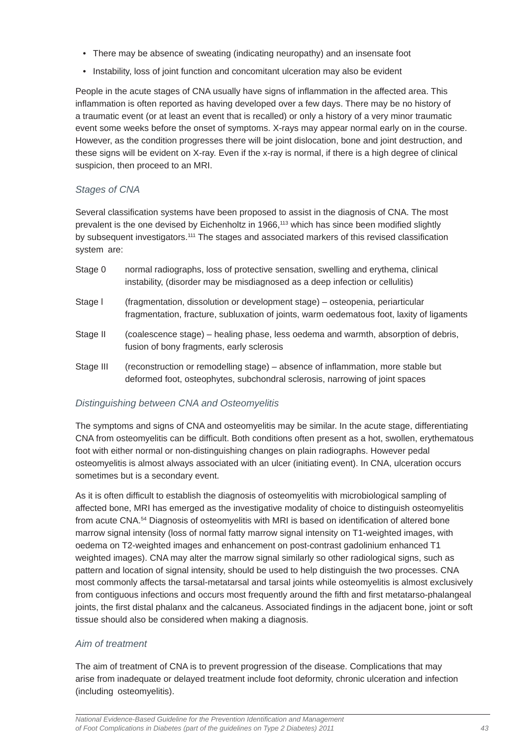- There may be absence of sweating (indicating neuropathy) and an insensate foot
- Instability, loss of joint function and concomitant ulceration may also be evident

People in the acute stages of CNA usually have signs of inflammation in the affected area. This inflammation is often reported as having developed over a few days. There may be no history of a traumatic event (or at least an event that is recalled) or only a history of a very minor traumatic event some weeks before the onset of symptoms. X-rays may appear normal early on in the course. However, as the condition progresses there will be joint dislocation, bone and joint destruction, and these signs will be evident on X-ray. Even if the x-ray is normal, if there is a high degree of clinical suspicion, then proceed to an MRI.

#### *Stages of CNA*

Several classification systems have been proposed to assist in the diagnosis of CNA. The most prevalent is the one devised by Eichenholtz in 1966,<sup>113</sup> which has since been modified slightly by subsequent investigators.<sup>111</sup> The stages and associated markers of this revised classification system are:

| Stage 0   | normal radiographs, loss of protective sensation, swelling and erythema, clinical<br>instability, (disorder may be misdiagnosed as a deep infection or cellulitis)         |
|-----------|----------------------------------------------------------------------------------------------------------------------------------------------------------------------------|
| Stage I   | (fragmentation, dissolution or development stage) – osteopenia, periarticular<br>fragmentation, fracture, subluxation of joints, warm oedematous foot, laxity of ligaments |
| Stage II  | (coalescence stage) – healing phase, less oedema and warmth, absorption of debris,<br>fusion of bony fragments, early sclerosis                                            |
| Stage III | (reconstruction or remodelling stage) – absence of inflammation, more stable but                                                                                           |

deformed foot, osteophytes, subchondral sclerosis, narrowing of joint spaces

#### *Distinguishing between CNA and Osteomyelitis*

The symptoms and signs of CNA and osteomyelitis may be similar. In the acute stage, differentiating CNA from osteomyelitis can be difficult. Both conditions often present as a hot, swollen, erythematous foot with either normal or non-distinguishing changes on plain radiographs. However pedal osteomyelitis is almost always associated with an ulcer (initiating event). In CNA, ulceration occurs sometimes but is a secondary event.

As it is often difficult to establish the diagnosis of osteomyelitis with microbiological sampling of affected bone, MRI has emerged as the investigative modality of choice to distinguish osteomyelitis from acute CNA.<sup>54</sup> Diagnosis of osteomyelitis with MRI is based on identification of altered bone marrow signal intensity (loss of normal fatty marrow signal intensity on T1-weighted images, with oedema on T2-weighted images and enhancement on post-contrast gadolinium enhanced T1 weighted images). CNA may alter the marrow signal similarly so other radiological signs, such as pattern and location of signal intensity, should be used to help distinguish the two processes. CNA most commonly affects the tarsal-metatarsal and tarsal joints while osteomyelitis is almost exclusively from contiguous infections and occurs most frequently around the fifth and first metatarso-phalangeal joints, the first distal phalanx and the calcaneus. Associated findings in the adjacent bone, joint or soft tissue should also be considered when making a diagnosis.

#### *Aim of treatment*

The aim of treatment of CNA is to prevent progression of the disease. Complications that may arise from inadequate or delayed treatment include foot deformity, chronic ulceration and infection (including osteomyelitis).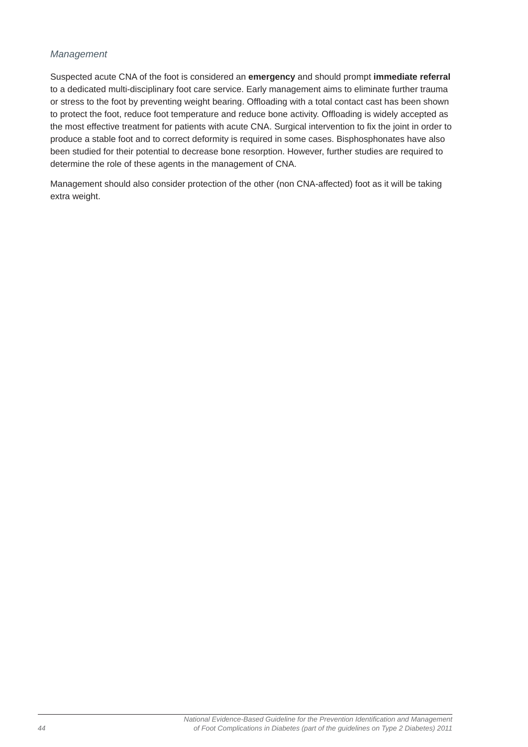#### *Management*

Suspected acute CNA of the foot is considered an **emergency** and should prompt **immediate referral**  to a dedicated multi-disciplinary foot care service. Early management aims to eliminate further trauma or stress to the foot by preventing weight bearing. Offloading with a total contact cast has been shown to protect the foot, reduce foot temperature and reduce bone activity. Offloading is widely accepted as the most effective treatment for patients with acute CNA. Surgical intervention to fix the joint in order to produce a stable foot and to correct deformity is required in some cases. Bisphosphonates have also been studied for their potential to decrease bone resorption. However, further studies are required to determine the role of these agents in the management of CNA.

Management should also consider protection of the other (non CNA-affected) foot as it will be taking extra weight.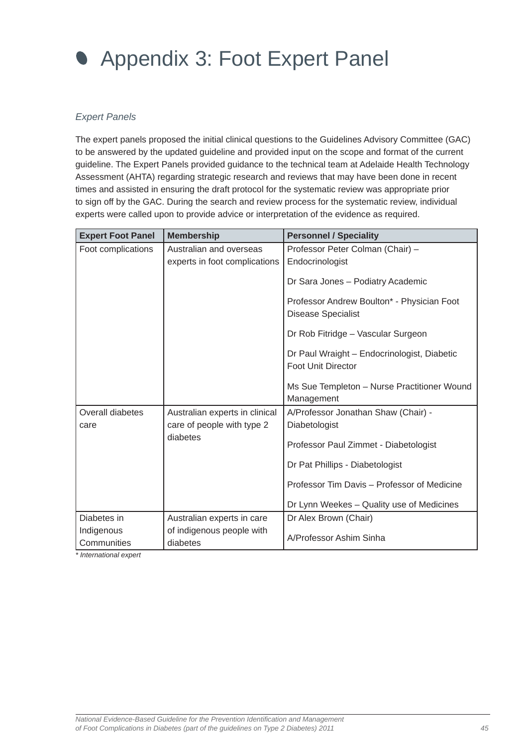<span id="page-44-0"></span>

### *Expert Panels*

The expert panels proposed the initial clinical questions to the Guidelines Advisory Committee (GAC) to be answered by the updated guideline and provided input on the scope and format of the current guideline. The Expert Panels provided guidance to the technical team at Adelaide Health Technology Assessment (AHTA) regarding strategic research and reviews that may have been done in recent times and assisted in ensuring the draft protocol for the systematic review was appropriate prior to sign off by the GAC. During the search and review process for the systematic review, individual experts were called upon to provide advice or interpretation of the evidence as required.

| <b>Expert Foot Panel</b> | <b>Membership</b>              | <b>Personnel / Speciality</b>                                            |
|--------------------------|--------------------------------|--------------------------------------------------------------------------|
| Foot complications       | Australian and overseas        | Professor Peter Colman (Chair) -                                         |
|                          | experts in foot complications  | Endocrinologist                                                          |
|                          |                                | Dr Sara Jones - Podiatry Academic                                        |
|                          |                                | Professor Andrew Boulton* - Physician Foot<br><b>Disease Specialist</b>  |
|                          |                                | Dr Rob Fitridge - Vascular Surgeon                                       |
|                          |                                | Dr Paul Wraight - Endocrinologist, Diabetic<br><b>Foot Unit Director</b> |
|                          |                                | Ms Sue Templeton - Nurse Practitioner Wound                              |
|                          |                                | Management                                                               |
| Overall diabetes         | Australian experts in clinical | A/Professor Jonathan Shaw (Chair) -                                      |
| care                     | care of people with type 2     | Diabetologist                                                            |
|                          | diabetes                       | Professor Paul Zimmet - Diabetologist                                    |
|                          |                                | Dr Pat Phillips - Diabetologist                                          |
|                          |                                | Professor Tim Davis - Professor of Medicine                              |
|                          |                                | Dr Lynn Weekes - Quality use of Medicines                                |
| Diabetes in              | Australian experts in care     | Dr Alex Brown (Chair)                                                    |
| Indigenous               | of indigenous people with      | A/Professor Ashim Sinha                                                  |
| Communities              | diabetes                       |                                                                          |

*\* International expert*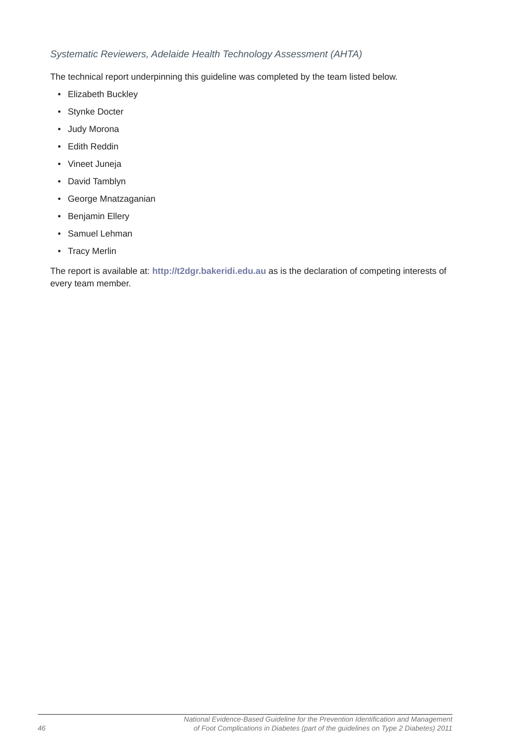#### *Systematic Reviewers, Adelaide Health Technology Assessment (AHTA)*

The technical report underpinning this guideline was completed by the team listed below.

- Elizabeth Buckley
- Stynke Docter
- Judy Morona
- Edith Reddin
- Vineet Juneja
- David Tamblyn
- George Mnatzaganian
- Benjamin Ellery
- Samuel Lehman
- Tracy Merlin

The report is available at: **http://t2dgr.bakeridi.edu.au** as is the declaration of competing interests of every team member.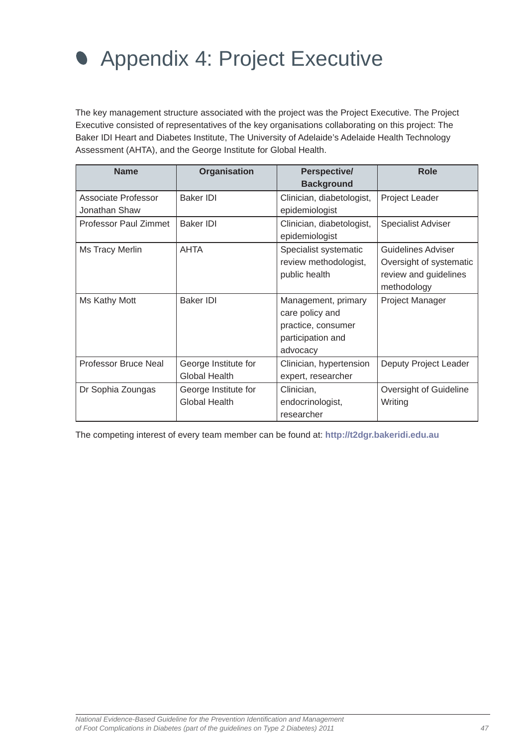# <span id="page-46-0"></span>Appendix 4: Project Executive

The key management structure associated with the project was the Project Executive. The Project Executive consisted of representatives of the key organisations collaborating on this project: The Baker IDI Heart and Diabetes Institute, The University of Adelaide's Adelaide Health Technology Assessment (AHTA), and the George Institute for Global Health.

| <b>Name</b>                          | Organisation                                 | Perspective/<br><b>Background</b>                                                             | <b>Role</b>                                                                           |
|--------------------------------------|----------------------------------------------|-----------------------------------------------------------------------------------------------|---------------------------------------------------------------------------------------|
| Associate Professor<br>Jonathan Shaw | <b>Baker IDI</b>                             | Clinician, diabetologist,<br>epidemiologist                                                   | Project Leader                                                                        |
| Professor Paul Zimmet                | <b>Baker IDI</b>                             | Clinician, diabetologist,<br>epidemiologist                                                   | <b>Specialist Adviser</b>                                                             |
| Ms Tracy Merlin                      | <b>AHTA</b>                                  | Specialist systematic<br>review methodologist,<br>public health                               | Guidelines Adviser<br>Oversight of systematic<br>review and guidelines<br>methodology |
| Ms Kathy Mott                        | <b>Baker IDI</b>                             | Management, primary<br>care policy and<br>practice, consumer<br>participation and<br>advocacy | Project Manager                                                                       |
| Professor Bruce Neal                 | George Institute for<br>Global Health        | Clinician, hypertension<br>expert, researcher                                                 | Deputy Project Leader                                                                 |
| Dr Sophia Zoungas                    | George Institute for<br><b>Global Health</b> | Clinician,<br>endocrinologist,<br>researcher                                                  | Oversight of Guideline<br>Writing                                                     |

The competing interest of every team member can be found at: **http://t2dgr.bakeridi.edu.au**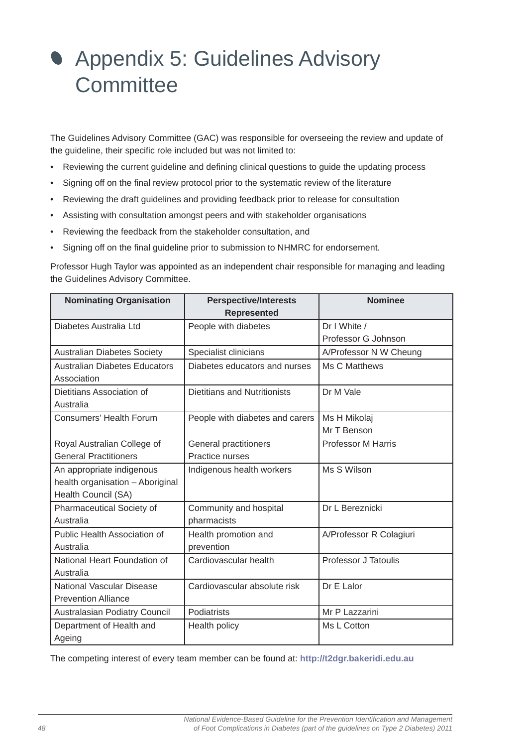# <span id="page-47-0"></span> Appendix 5: Guidelines Advisory **Committee**

The Guidelines Advisory Committee (GAC) was responsible for overseeing the review and update of the guideline, their specific role included but was not limited to:

- Reviewing the current guideline and defining clinical questions to guide the updating process
- Signing off on the final review protocol prior to the systematic review of the literature
- Reviewing the draft guidelines and providing feedback prior to release for consultation
- Assisting with consultation amongst peers and with stakeholder organisations
- Reviewing the feedback from the stakeholder consultation, and
- Signing off on the final guideline prior to submission to NHMRC for endorsement.

Professor Hugh Taylor was appointed as an independent chair responsible for managing and leading the Guidelines Advisory Committee.

| <b>Nominating Organisation</b>                                                       | <b>Perspective/Interests</b><br><b>Represented</b> | <b>Nominee</b>              |
|--------------------------------------------------------------------------------------|----------------------------------------------------|-----------------------------|
| Diabetes Australia Ltd                                                               | People with diabetes                               | Dr I White /                |
|                                                                                      |                                                    | Professor G Johnson         |
| <b>Australian Diabetes Society</b>                                                   | Specialist clinicians                              | A/Professor N W Cheung      |
| <b>Australian Diabetes Educators</b><br>Association                                  | Diabetes educators and nurses                      | Ms C Matthews               |
| Dietitians Association of<br>Australia                                               | Dietitians and Nutritionists                       | Dr M Vale                   |
| <b>Consumers' Health Forum</b>                                                       | People with diabetes and carers                    | Ms H Mikolaj<br>Mr T Benson |
| Royal Australian College of                                                          | <b>General practitioners</b>                       | <b>Professor M Harris</b>   |
| <b>General Practitioners</b>                                                         | Practice nurses                                    |                             |
| An appropriate indigenous<br>health organisation - Aboriginal<br>Health Council (SA) | Indigenous health workers                          | Ms S Wilson                 |
| Pharmaceutical Society of<br>Australia                                               | Community and hospital<br>pharmacists              | Dr L Bereznicki             |
| Public Health Association of<br>Australia                                            | Health promotion and<br>prevention                 | A/Professor R Colagiuri     |
| National Heart Foundation of<br>Australia                                            | Cardiovascular health                              | <b>Professor J Tatoulis</b> |
| National Vascular Disease<br><b>Prevention Alliance</b>                              | Cardiovascular absolute risk                       | Dr E Lalor                  |
| Australasian Podiatry Council                                                        | Podiatrists                                        | Mr P Lazzarini              |
| Department of Health and<br>Ageing                                                   | Health policy                                      | Ms L Cotton                 |

The competing interest of every team member can be found at: **http://t2dgr.bakeridi.edu.au**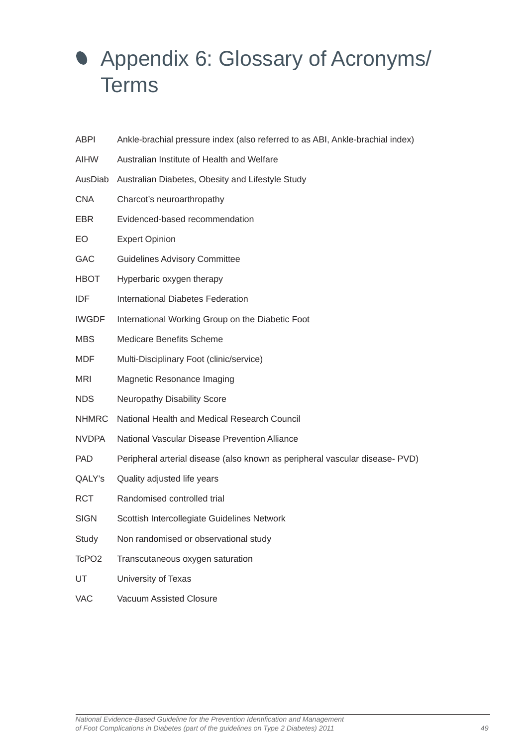# <span id="page-48-0"></span> Appendix 6: Glossary of Acronyms/ Terms

| <b>ABPI</b>       | Ankle-brachial pressure index (also referred to as ABI, Ankle-brachial index) |
|-------------------|-------------------------------------------------------------------------------|
| AIHW              | Australian Institute of Health and Welfare                                    |
| AusDiab           | Australian Diabetes, Obesity and Lifestyle Study                              |
| <b>CNA</b>        | Charcot's neuroarthropathy                                                    |
| <b>EBR</b>        | Evidenced-based recommendation                                                |
| EO                | <b>Expert Opinion</b>                                                         |
| <b>GAC</b>        | <b>Guidelines Advisory Committee</b>                                          |
| <b>HBOT</b>       | Hyperbaric oxygen therapy                                                     |
| IDF               | <b>International Diabetes Federation</b>                                      |
| <b>IWGDF</b>      | International Working Group on the Diabetic Foot                              |
| <b>MBS</b>        | Medicare Benefits Scheme                                                      |
| MDF               | Multi-Disciplinary Foot (clinic/service)                                      |
| <b>MRI</b>        | Magnetic Resonance Imaging                                                    |
| <b>NDS</b>        | Neuropathy Disability Score                                                   |
| <b>NHMRC</b>      | National Health and Medical Research Council                                  |
| <b>NVDPA</b>      | National Vascular Disease Prevention Alliance                                 |
| <b>PAD</b>        | Peripheral arterial disease (also known as peripheral vascular disease- PVD)  |
| QALY's            | Quality adjusted life years                                                   |
| <b>RCT</b>        | Randomised controlled trial                                                   |
| <b>SIGN</b>       | Scottish Intercollegiate Guidelines Network                                   |
| Study             | Non randomised or observational study                                         |
| TcPO <sub>2</sub> | Transcutaneous oxygen saturation                                              |
| UT                | University of Texas                                                           |
| <b>VAC</b>        | Vacuum Assisted Closure                                                       |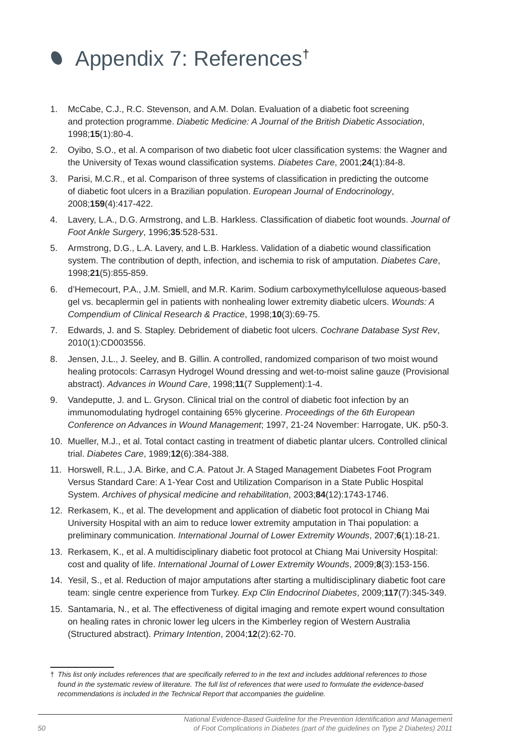# Appendix 7: References†

- 1. McCabe, C.J., R.C. Stevenson, and A.M. Dolan. Evaluation of a diabetic foot screening and protection programme. *Diabetic Medicine: A Journal of the British Diabetic Association*, 1998;**15**(1):80-4.
- 2. Oyibo, S.O., et al. A comparison of two diabetic foot ulcer classification systems: the Wagner and the University of Texas wound classification systems. *Diabetes Care*, 2001;24(1):84-8.
- 3. Parisi, M.C.R., et al. Comparison of three systems of classification in predicting the outcome of diabetic foot ulcers in a Brazilian population. *European Journal of Endocrinology*, 2008;**159**(4):417-422.
- 4. Lavery, L.A., D.G. Armstrong, and L.B. Harkless. Classification of diabetic foot wounds. *Journal of Foot Ankle Surgery*, 1996;**35**:528-531.
- 5. Armstrong, D.G., L.A. Lavery, and L.B. Harkless. Validation of a diabetic wound classification system. The contribution of depth, infection, and ischemia to risk of amputation. *Diabetes Care*, 1998;**21**(5):855-859.
- 6. d'Hemecourt, P.A., J.M. Smiell, and M.R. Karim. Sodium carboxymethylcellulose aqueous-based gel vs. becaplermin gel in patients with nonhealing lower extremity diabetic ulcers. *Wounds: A Compendium of Clinical Research & Practice*, 1998;**10**(3):69-75.
- 7. Edwards, J. and S. Stapley. Debridement of diabetic foot ulcers. *Cochrane Database Syst Rev*, 2010(1):CD003556.
- 8. Jensen, J.L., J. Seeley, and B. Gillin. A controlled, randomized comparison of two moist wound healing protocols: Carrasyn Hydrogel Wound dressing and wet-to-moist saline gauze (Provisional abstract). *Advances in Wound Care*, 1998;**11**(7 Supplement):1-4.
- 9. Vandeputte, J. and L. Gryson. Clinical trial on the control of diabetic foot infection by an immunomodulating hydrogel containing 65% glycerine. *Proceedings of the 6th European Conference on Advances in Wound Management*; 1997, 21-24 November: Harrogate, UK. p50-3.
- 10. Mueller, M.J., et al. Total contact casting in treatment of diabetic plantar ulcers. Controlled clinical trial. *Diabetes Care*, 1989;**12**(6):384-388.
- 11. Horswell, R.L., J.A. Birke, and C.A. Patout Jr. A Staged Management Diabetes Foot Program Versus Standard Care: A 1-Year Cost and Utilization Comparison in a State Public Hospital System. *Archives of physical medicine and rehabilitation*, 2003;**84**(12):1743-1746.
- 12. Rerkasem, K., et al. The development and application of diabetic foot protocol in Chiang Mai University Hospital with an aim to reduce lower extremity amputation in Thai population: a preliminary communication. *International Journal of Lower Extremity Wounds*, 2007;**6**(1):18-21.
- 13. Rerkasem, K., et al. A multidisciplinary diabetic foot protocol at Chiang Mai University Hospital: cost and quality of life. *International Journal of Lower Extremity Wounds*, 2009;**8**(3):153-156.
- 14. Yesil, S., et al. Reduction of major amputations after starting a multidisciplinary diabetic foot care team: single centre experience from Turkey. *Exp Clin Endocrinol Diabetes*, 2009;**117**(7):345-349.
- 15. Santamaria, N., et al. The effectiveness of digital imaging and remote expert wound consultation on healing rates in chronic lower leg ulcers in the Kimberley region of Western Australia (Structured abstract). *Primary Intention*, 2004;**12**(2):62-70.

<sup>†</sup> *This list only includes references that are specifi cally referred to in the text and includes additional references to those found in the systematic review of literature. The full list of references that were used to formulate the evidence-based recommendations is included in the Technical Report that accompanies the guideline.*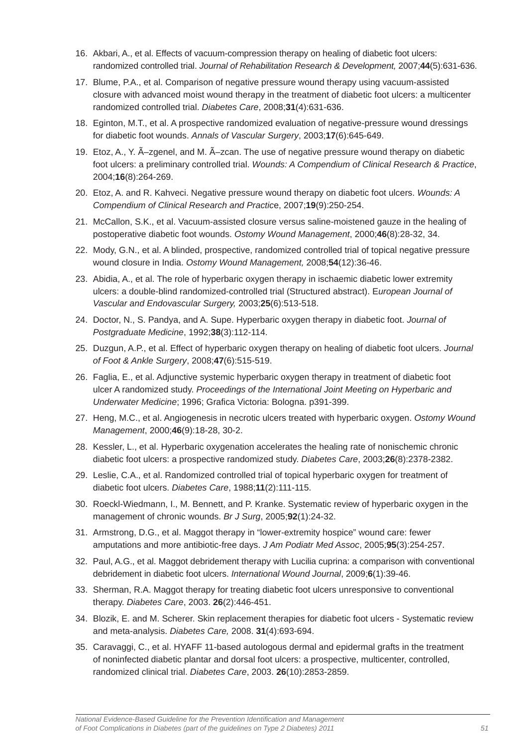- 16. Akbari, A., et al. Effects of vacuum-compression therapy on healing of diabetic foot ulcers: randomized controlled trial. *Journal of Rehabilitation Research & Development,* 2007;**44**(5):631-636.
- 17. Blume, P.A., et al. Comparison of negative pressure wound therapy using vacuum-assisted closure with advanced moist wound therapy in the treatment of diabetic foot ulcers: a multicenter randomized controlled trial. *Diabetes Care*, 2008;**31**(4):631-636.
- 18. Eginton, M.T., et al. A prospective randomized evaluation of negative-pressure wound dressings for diabetic foot wounds. *Annals of Vascular Surgery*, 2003;**17**(6):645-649.
- 19. Etoz. A., Y. A-zgenel, and M. A-zcan. The use of negative pressure wound therapy on diabetic foot ulcers: a preliminary controlled trial. *Wounds: A Compendium of Clinical Research & Practice*, 2004;**16**(8):264-269.
- 20. Etoz, A. and R. Kahveci. Negative pressure wound therapy on diabetic foot ulcers. *Wounds: A Compendium of Clinical Research and Practic*e, 2007;**19**(9):250-254.
- 21. McCallon, S.K., et al. Vacuum-assisted closure versus saline-moistened gauze in the healing of postoperative diabetic foot wounds. *Ostomy Wound Management*, 2000;**46**(8):28-32, 34.
- 22. Mody, G.N., et al. A blinded, prospective, randomized controlled trial of topical negative pressure wound closure in India. *Ostomy Wound Management,* 2008;**54**(12):36-46.
- 23. Abidia, A., et al. The role of hyperbaric oxygen therapy in ischaemic diabetic lower extremity ulcers: a double-blind randomized-controlled trial (Structured abstract). E*uropean Journal of Vascular and Endovascular Surgery,* 2003;**25**(6):513-518.
- 24. Doctor, N., S. Pandya, and A. Supe. Hyperbaric oxygen therapy in diabetic foot. *Journal of Postgraduate Medicine*, 1992;**38**(3):112-114.
- 25. Duzgun, A.P., et al. Effect of hyperbaric oxygen therapy on healing of diabetic foot ulcers. *Journal of Foot & Ankle Surgery*, 2008;**47**(6):515-519.
- 26. Faglia, E., et al. Adjunctive systemic hyperbaric oxygen therapy in treatment of diabetic foot ulcer A randomized study. *Proceedings of the International Joint Meeting on Hyperbaric and Underwater Medicine*; 1996; Grafica Victoria: Bologna. p391-399.
- 27. Heng, M.C., et al. Angiogenesis in necrotic ulcers treated with hyperbaric oxygen. *Ostomy Wound Management*, 2000;**46**(9):18-28, 30-2.
- 28. Kessler, L., et al. Hyperbaric oxygenation accelerates the healing rate of nonischemic chronic diabetic foot ulcers: a prospective randomized study. *Diabetes Care*, 2003;**26**(8):2378-2382.
- 29. Leslie, C.A., et al. Randomized controlled trial of topical hyperbaric oxygen for treatment of diabetic foot ulcers. *Diabetes Care*, 1988;**11**(2):111-115.
- 30. Roeckl-Wiedmann, I., M. Bennett, and P. Kranke. Systematic review of hyperbaric oxygen in the management of chronic wounds. *Br J Surg*, 2005;**92**(1):24-32.
- 31. Armstrong, D.G., et al. Maggot therapy in "lower-extremity hospice" wound care: fewer amputations and more antibiotic-free days. *J Am Podiatr Med Assoc*, 2005;**95**(3):254-257.
- 32. Paul, A.G., et al. Maggot debridement therapy with Lucilia cuprina: a comparison with conventional debridement in diabetic foot ulcers. *International Wound Journal*, 2009;**6**(1):39-46.
- 33. Sherman, R.A. Maggot therapy for treating diabetic foot ulcers unresponsive to conventional therapy. *Diabetes Care*, 2003. **26**(2):446-451.
- 34. Blozik, E. and M. Scherer. Skin replacement therapies for diabetic foot ulcers Systematic review and meta-analysis. *Diabetes Care,* 2008. **31**(4):693-694.
- 35. Caravaggi, C., et al. HYAFF 11-based autologous dermal and epidermal grafts in the treatment of noninfected diabetic plantar and dorsal foot ulcers: a prospective, multicenter, controlled, randomized clinical trial. *Diabetes Care*, 2003. **26**(10):2853-2859.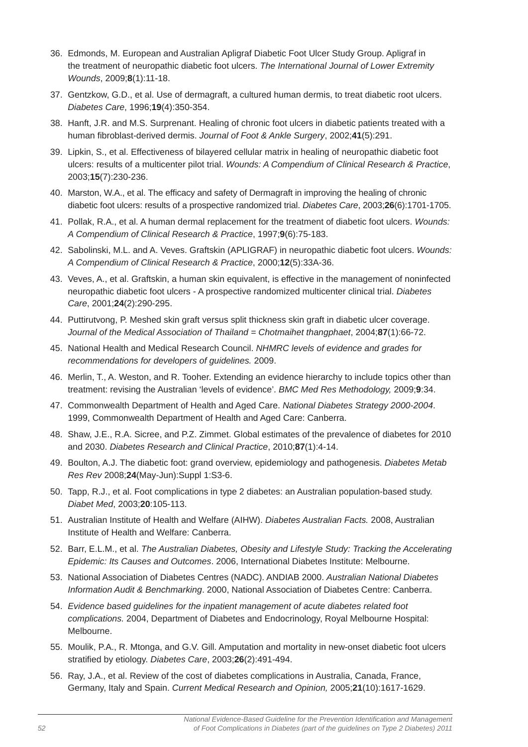- 36. Edmonds, M. European and Australian Apligraf Diabetic Foot Ulcer Study Group. Apligraf in the treatment of neuropathic diabetic foot ulcers. *The International Journal of Lower Extremity Wounds*, 2009;**8**(1):11-18.
- 37. Gentzkow, G.D., et al. Use of dermagraft, a cultured human dermis, to treat diabetic root ulcers. *Diabetes Care*, 1996;**19**(4):350-354.
- 38. Hanft, J.R. and M.S. Surprenant. Healing of chronic foot ulcers in diabetic patients treated with a human fibroblast-derived dermis. *Journal of Foot & Ankle Surgery*, 2002;41(5):291.
- 39. Lipkin, S., et al. Effectiveness of bilayered cellular matrix in healing of neuropathic diabetic foot ulcers: results of a multicenter pilot trial. *Wounds: A Compendium of Clinical Research & Practice*, 2003;**15**(7):230-236.
- 40. Marston, W.A., et al. The efficacy and safety of Dermagraft in improving the healing of chronic diabetic foot ulcers: results of a prospective randomized trial. *Diabetes Care*, 2003;**26**(6):1701-1705.
- 41. Pollak, R.A., et al. A human dermal replacement for the treatment of diabetic foot ulcers. *Wounds: A Compendium of Clinical Research & Practice*, 1997;**9**(6):75-183.
- 42. Sabolinski, M.L. and A. Veves. Graftskin (APLIGRAF) in neuropathic diabetic foot ulcers. *Wounds: A Compendium of Clinical Research & Practice*, 2000;**12**(5):33A-36.
- 43. Veves, A., et al. Graftskin, a human skin equivalent, is effective in the management of noninfected neuropathic diabetic foot ulcers - A prospective randomized multicenter clinical trial. *Diabetes Care*, 2001;**24**(2):290-295.
- 44. Puttirutvong, P. Meshed skin graft versus split thickness skin graft in diabetic ulcer coverage. *Journal of the Medical Association of Thailand = Chotmaihet thangphaet*, 2004;**87**(1):66-72.
- 45. National Health and Medical Research Council. *NHMRC levels of evidence and grades for recommendations for developers of guidelines.* 2009.
- 46. Merlin, T., A. Weston, and R. Tooher. Extending an evidence hierarchy to include topics other than treatment: revising the Australian 'levels of evidence'. *BMC Med Res Methodology,* 2009;**9**:34.
- 47. Commonwealth Department of Health and Aged Care. *National Diabetes Strategy 2000-2004*. 1999, Commonwealth Department of Health and Aged Care: Canberra.
- 48. Shaw, J.E., R.A. Sicree, and P.Z. Zimmet. Global estimates of the prevalence of diabetes for 2010 and 2030. *Diabetes Research and Clinical Practice*, 2010;**87**(1):4-14.
- 49. Boulton, A.J. The diabetic foot: grand overview, epidemiology and pathogenesis. *Diabetes Metab Res Rev* 2008;**24**(May-Jun):Suppl 1:S3-6.
- 50. Tapp, R.J., et al. Foot complications in type 2 diabetes: an Australian population-based study. *Diabet Med*, 2003;**20**:105-113.
- 51. Australian Institute of Health and Welfare (AIHW). *Diabetes Australian Facts.* 2008, Australian Institute of Health and Welfare: Canberra.
- 52. Barr, E.L.M., et al. *The Australian Diabetes, Obesity and Lifestyle Study: Tracking the Accelerating Epidemic: Its Causes and Outcomes*. 2006, International Diabetes Institute: Melbourne.
- 53. National Association of Diabetes Centres (NADC). ANDIAB 2000. *Australian National Diabetes Information Audit & Benchmarking*. 2000, National Association of Diabetes Centre: Canberra.
- 54. *Evidence based guidelines for the inpatient management of acute diabetes related foot complications.* 2004, Department of Diabetes and Endocrinology, Royal Melbourne Hospital: Melbourne.
- 55. Moulik, P.A., R. Mtonga, and G.V. Gill. Amputation and mortality in new-onset diabetic foot ulcers stratified by etiology. *Diabetes Care*, 2003;26(2):491-494.
- 56. Ray, J.A., et al. Review of the cost of diabetes complications in Australia, Canada, France, Germany, Italy and Spain. *Current Medical Research and Opinion,* 2005;**21**(10):1617-1629.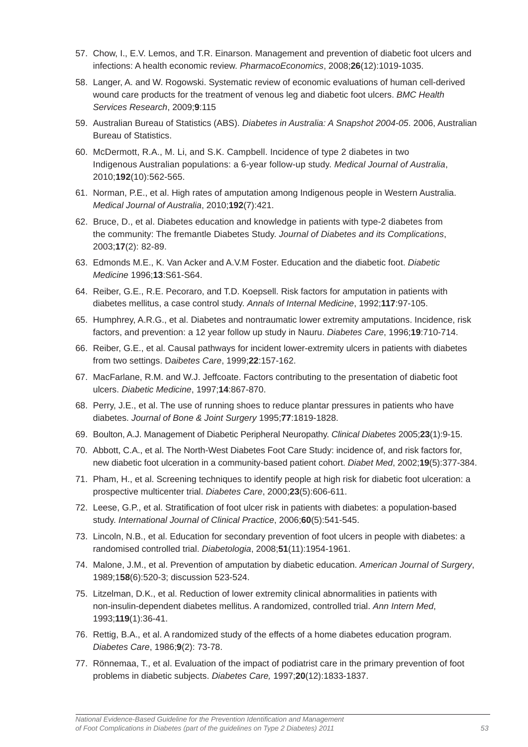- 57. Chow, I., E.V. Lemos, and T.R. Einarson. Management and prevention of diabetic foot ulcers and infections: A health economic review. *PharmacoEconomics*, 2008;**26**(12):1019-1035.
- 58. Langer, A. and W. Rogowski. Systematic review of economic evaluations of human cell-derived wound care products for the treatment of venous leg and diabetic foot ulcers. *BMC Health Services Research*, 2009;**9**:115
- 59. Australian Bureau of Statistics (ABS). *Diabetes in Australia: A Snapshot 2004-05*. 2006, Australian Bureau of Statistics.
- 60. McDermott, R.A., M. Li, and S.K. Campbell. Incidence of type 2 diabetes in two Indigenous Australian populations: a 6-year follow-up study. *Medical Journal of Australia*, 2010;**192**(10):562-565.
- 61. Norman, P.E., et al. High rates of amputation among Indigenous people in Western Australia. *Medical Journal of Australia*, 2010;**192**(7):421.
- 62. Bruce, D., et al. Diabetes education and knowledge in patients with type-2 diabetes from the community: The fremantle Diabetes Study. *Journal of Diabetes and its Complications*, 2003;**17**(2): 82-89.
- 63. Edmonds M.E., K. Van Acker and A.V.M Foster. Education and the diabetic foot. *Diabetic Medicine* 1996;**13**:S61-S64.
- 64. Reiber, G.E., R.E. Pecoraro, and T.D. Koepsell. Risk factors for amputation in patients with diabetes mellitus, a case control study. *Annals of Internal Medicine*, 1992;**117**:97-105.
- 65. Humphrey, A.R.G., et al. Diabetes and nontraumatic lower extremity amputations. Incidence, risk factors, and prevention: a 12 year follow up study in Nauru. *Diabetes Care*, 1996;**19**:710-714.
- 66. Reiber, G.E., et al. Causal pathways for incident lower-extremity ulcers in patients with diabetes from two settings. D*aibetes Care*, 1999;**22**:157-162.
- 67. MacFarlane, R.M. and W.J. Jeffcoate. Factors contributing to the presentation of diabetic foot ulcers. *Diabetic Medicine*, 1997;**14**:867-870.
- 68. Perry, J.E., et al. The use of running shoes to reduce plantar pressures in patients who have diabetes. *Journal of Bone & Joint Surgery* 1995;**77**:1819-1828.
- 69. Boulton, A.J. Management of Diabetic Peripheral Neuropathy. *Clinical Diabetes* 2005;**23**(1):9-15.
- 70. Abbott, C.A., et al. The North-West Diabetes Foot Care Study: incidence of, and risk factors for, new diabetic foot ulceration in a community-based patient cohort. *Diabet Med*, 2002;**19**(5):377-384.
- 71. Pham, H., et al. Screening techniques to identify people at high risk for diabetic foot ulceration: a prospective multicenter trial. *Diabetes Care*, 2000;**23**(5):606-611.
- 72. Leese, G.P., et al. Stratification of foot ulcer risk in patients with diabetes: a population-based study. *International Journal of Clinical Practice*, 2006;**60**(5):541-545.
- 73. Lincoln, N.B., et al. Education for secondary prevention of foot ulcers in people with diabetes: a randomised controlled trial. *Diabetologia*, 2008;**51**(11):1954-1961.
- 74. Malone, J.M., et al. Prevention of amputation by diabetic education. *American Journal of Surgery*, 1989;1**58**(6):520-3; discussion 523-524.
- 75. Litzelman, D.K., et al. Reduction of lower extremity clinical abnormalities in patients with non-insulin-dependent diabetes mellitus. A randomized, controlled trial. *Ann Intern Med*, 1993;**119**(1):36-41.
- 76. Rettig, B.A., et al. A randomized study of the effects of a home diabetes education program. *Diabetes Care*, 1986;**9**(2): 73-78.
- 77. Rönnemaa, T., et al. Evaluation of the impact of podiatrist care in the primary prevention of foot problems in diabetic subjects. *Diabetes Care,* 1997;**20**(12):1833-1837.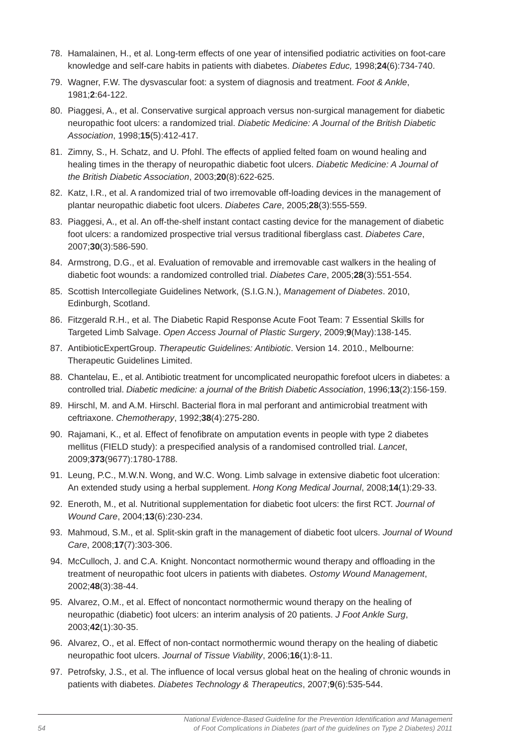- 78. Hamalainen, H., et al. Long-term effects of one year of intensified podiatric activities on foot-care knowledge and self-care habits in patients with diabetes. *Diabetes Educ,* 1998;**24**(6):734-740.
- 79. Wagner, F.W. The dysvascular foot: a system of diagnosis and treatment. *Foot & Ankle*, 1981;**2**:64-122.
- 80. Piaggesi, A., et al. Conservative surgical approach versus non-surgical management for diabetic neuropathic foot ulcers: a randomized trial. *Diabetic Medicine: A Journal of the British Diabetic Association*, 1998;**15**(5):412-417.
- 81. Zimny, S., H. Schatz, and U. Pfohl. The effects of applied felted foam on wound healing and healing times in the therapy of neuropathic diabetic foot ulcers. *Diabetic Medicine: A Journal of the British Diabetic Association*, 2003;**20**(8):622-625.
- 82. Katz, I.R., et al. A randomized trial of two irremovable off-loading devices in the management of plantar neuropathic diabetic foot ulcers. *Diabetes Care*, 2005;**28**(3):555-559.
- 83. Piaggesi, A., et al. An off-the-shelf instant contact casting device for the management of diabetic foot ulcers: a randomized prospective trial versus traditional fiberglass cast. *Diabetes Care*, 2007;**30**(3):586-590.
- 84. Armstrong, D.G., et al. Evaluation of removable and irremovable cast walkers in the healing of diabetic foot wounds: a randomized controlled trial. *Diabetes Care*, 2005;**28**(3):551-554.
- 85. Scottish Intercollegiate Guidelines Network, (S.I.G.N.), *Management of Diabetes*. 2010, Edinburgh, Scotland.
- 86. Fitzgerald R.H., et al. The Diabetic Rapid Response Acute Foot Team: 7 Essential Skills for Targeted Limb Salvage. *Open Access Journal of Plastic Surgery*, 2009;**9**(May):138-145.
- 87. AntibioticExpertGroup. *Therapeutic Guidelines: Antibiotic*. Version 14. 2010., Melbourne: Therapeutic Guidelines Limited.
- 88. Chantelau, E., et al. Antibiotic treatment for uncomplicated neuropathic forefoot ulcers in diabetes: a controlled trial. *Diabetic medicine: a journal of the British Diabetic Association*, 1996;**13**(2):156-159.
- 89. Hirschl, M. and A.M. Hirschl. Bacterial flora in mal perforant and antimicrobial treatment with ceftriaxone. *Chemotherapy*, 1992;**38**(4):275-280.
- 90. Rajamani, K., et al. Effect of fenofibrate on amputation events in people with type 2 diabetes mellitus (FIELD study): a prespecified analysis of a randomised controlled trial. *Lancet*, 2009;**373**(9677):1780-1788.
- 91. Leung, P.C., M.W.N. Wong, and W.C. Wong. Limb salvage in extensive diabetic foot ulceration: An extended study using a herbal supplement. *Hong Kong Medical Journal*, 2008;**14**(1):29-33.
- 92. Eneroth, M., et al. Nutritional supplementation for diabetic foot ulcers: the first RCT. *Journal of Wound Care*, 2004;**13**(6):230-234.
- 93. Mahmoud, S.M., et al. Split-skin graft in the management of diabetic foot ulcers. *Journal of Wound Care*, 2008;**17**(7):303-306.
- 94. McCulloch, J. and C.A. Knight. Noncontact normothermic wound therapy and offloading in the treatment of neuropathic foot ulcers in patients with diabetes. *Ostomy Wound Management*, 2002;**48**(3):38-44.
- 95. Alvarez, O.M., et al. Effect of noncontact normothermic wound therapy on the healing of neuropathic (diabetic) foot ulcers: an interim analysis of 20 patients. *J Foot Ankle Surg*, 2003;**42**(1):30-35.
- 96. Alvarez, O., et al. Effect of non-contact normothermic wound therapy on the healing of diabetic neuropathic foot ulcers. *Journal of Tissue Viability*, 2006;**16**(1):8-11.
- 97. Petrofsky, J.S., et al. The influence of local versus global heat on the healing of chronic wounds in patients with diabetes. *Diabetes Technology & Therapeutics*, 2007;**9**(6):535-544.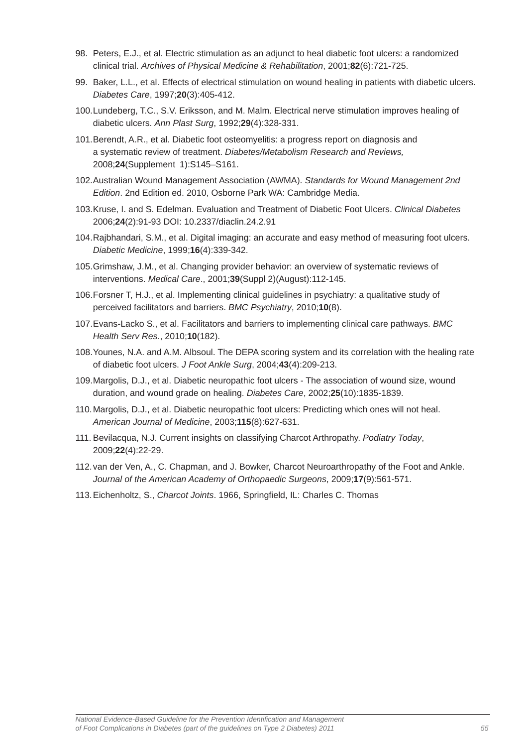- 98. Peters, E.J., et al. Electric stimulation as an adjunct to heal diabetic foot ulcers: a randomized clinical trial. *Archives of Physical Medicine & Rehabilitation*, 2001;**82**(6):721-725.
- 99. Baker, L.L., et al. Effects of electrical stimulation on wound healing in patients with diabetic ulcers. *Diabetes Care*, 1997;**20**(3):405-412.
- 100. Lundeberg, T.C., S.V. Eriksson, and M. Malm. Electrical nerve stimulation improves healing of diabetic ulcers. *Ann Plast Surg*, 1992;**29**(4):328-331.
- 101. Berendt, A.R., et al. Diabetic foot osteomyelitis: a progress report on diagnosis and a systematic review of treatment. *Diabetes/Metabolism Research and Reviews,* 2008;**24**(Supplement 1):S145–S161.
- 102. Australian Wound Management Association (AWMA). *Standards for Wound Management 2nd Edition*. 2nd Edition ed. 2010, Osborne Park WA: Cambridge Media.
- 103. Kruse, I. and S. Edelman. Evaluation and Treatment of Diabetic Foot Ulcers. *Clinical Diabetes* 2006;**24**(2):91-93 DOI: 10.2337/diaclin.24.2.91
- 104. Rajbhandari, S.M., et al. Digital imaging: an accurate and easy method of measuring foot ulcers. *Diabetic Medicine*, 1999;**16**(4):339-342.
- 105. Grimshaw, J.M., et al. Changing provider behavior: an overview of systematic reviews of interventions. *Medical Care*., 2001;**39**(Suppl 2)(August):112-145.
- 106. Forsner T, H.J., et al. Implementing clinical guidelines in psychiatry: a qualitative study of perceived facilitators and barriers. *BMC Psychiatry*, 2010;**10**(8).
- 107. Evans-Lacko S., et al. Facilitators and barriers to implementing clinical care pathways. *BMC Health Serv Res*., 2010;**10**(182).
- 108. Younes, N.A. and A.M. Albsoul. The DEPA scoring system and its correlation with the healing rate of diabetic foot ulcers. *J Foot Ankle Surg*, 2004;**43**(4):209-213.
- 109. Margolis, D.J., et al. Diabetic neuropathic foot ulcers The association of wound size, wound duration, and wound grade on healing. *Diabetes Care*, 2002;**25**(10):1835-1839.
- 110. Margolis, D.J., et al. Diabetic neuropathic foot ulcers: Predicting which ones will not heal. *American Journal of Medicine*, 2003;**115**(8):627-631.
- 111. Bevilacqua, N.J. Current insights on classifying Charcot Arthropathy. *Podiatry Today*, 2009;**22**(4):22-29.
- 112. van der Ven, A., C. Chapman, and J. Bowker, Charcot Neuroarthropathy of the Foot and Ankle. *Journal of the American Academy of Orthopaedic Surgeons*, 2009;**17**(9):561-571.
- 113. Eichenholtz, S., *Charcot Joints*, 1966, Springfield, IL: Charles C. Thomas